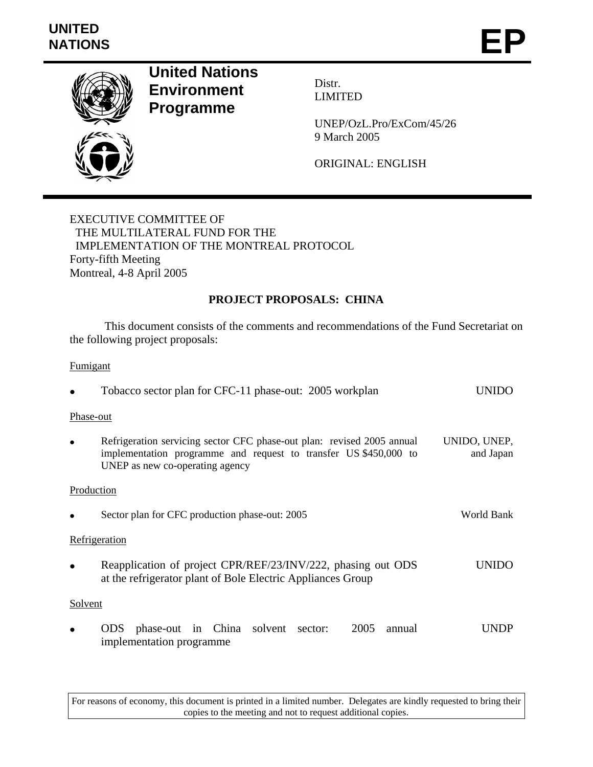# **UNITED**  UNITED<br>NATIONS **EP**



# **United Nations Environment Programme**

Distr. LIMITED

UNEP/OzL.Pro/ExCom/45/26 9 March 2005

ORIGINAL: ENGLISH

EXECUTIVE COMMITTEE OF THE MULTILATERAL FUND FOR THE IMPLEMENTATION OF THE MONTREAL PROTOCOL Forty-fifth Meeting Montreal, 4-8 April 2005

# **PROJECT PROPOSALS: CHINA**

 This document consists of the comments and recommendations of the Fund Secretariat on the following project proposals:

# **Fumigant**

|            | Tobacco sector plan for CFC-11 phase-out: 2005 workplan                                                                                                                       |                           |
|------------|-------------------------------------------------------------------------------------------------------------------------------------------------------------------------------|---------------------------|
| Phase-out  |                                                                                                                                                                               |                           |
|            | Refrigeration servicing sector CFC phase-out plan: revised 2005 annual<br>implementation programme and request to transfer US \$450,000 to<br>UNEP as new co-operating agency | UNIDO, UNEP,<br>and Japan |
| Production |                                                                                                                                                                               |                           |
|            | Sector plan for CFC production phase-out: 2005                                                                                                                                | World Bank                |
|            | Refrigeration                                                                                                                                                                 |                           |
|            | Reapplication of project CPR/REF/23/INV/222, phasing out ODS<br>at the refrigerator plant of Bole Electric Appliances Group                                                   | UNIDO                     |
| Solvent    |                                                                                                                                                                               |                           |
|            | ODS phase-out in China solvent<br>2005<br>annual<br>sector:<br>implementation programme                                                                                       |                           |

For reasons of economy, this document is printed in a limited number. Delegates are kindly requested to bring their copies to the meeting and not to request additional copies.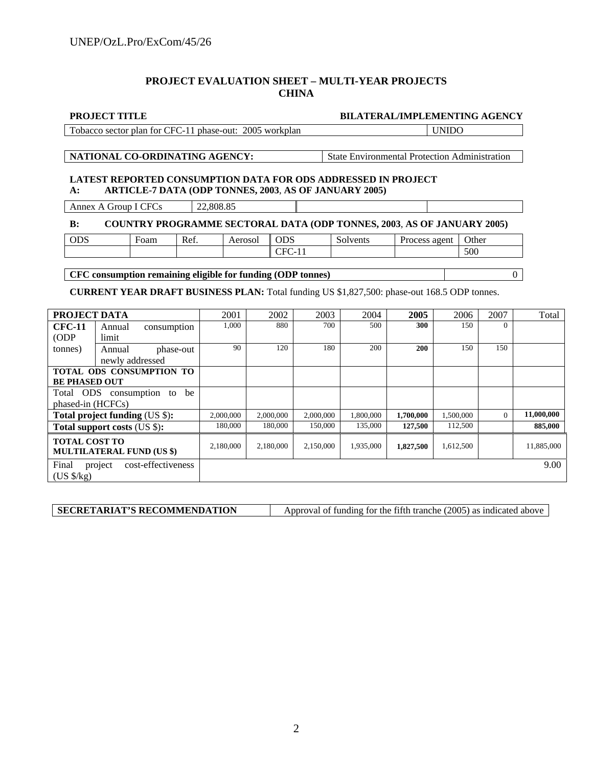#### **PROJECT EVALUATION SHEET – MULTI-YEAR PROJECTS CHINA**

#### **BILATERAL/IMPLEMENTING AGENCY**

Tobacco sector plan for CFC-11 phase-out: 2005 workplan VIIDO

**NATIONAL CO-ORDINATING AGENCY:** State Environmental Protection Administration

#### **LATEST REPORTED CONSUMPTION DATA FOR ODS ADDRESSED IN PROJECT A: ARTICLE-7 DATA (ODP TONNES, 2003**, **AS OF JANUARY 2005)**

Annex A Group I CFCs 22,808.85

#### **B: COUNTRY PROGRAMME SECTORAL DATA (ODP TONNES, 2003**, **AS OF JANUARY 2005)**

| 500<br>-<br>◡<br>. . | <b>ODS</b> | ⊦oam | Ref. | erosol | $\sim$<br>UDJ | -<br>$\cdots$ unt $\cdots$<br>″enu.<br>w | agent<br>0000<br>$\cup$ UCO $\circ$ | Other |
|----------------------|------------|------|------|--------|---------------|------------------------------------------|-------------------------------------|-------|
|                      |            |      |      |        |               |                                          |                                     |       |

**CFC consumption remaining eligible for funding (ODP tonnes)** 0

**CURRENT YEAR DRAFT BUSINESS PLAN:** Total funding US \$1,827,500: phase-out 168.5 ODP tonnes.

| PROJECT DATA                      |                                  |                                 | 2001      | 2002      | 2003      | 2004      | 2005       | 2006      | 2007     | Total      |
|-----------------------------------|----------------------------------|---------------------------------|-----------|-----------|-----------|-----------|------------|-----------|----------|------------|
| <b>CFC-11</b>                     | Annual                           | consumption                     | 1,000     | 880       | 700       | 500       | 300        | 150       | $\Omega$ |            |
| (ODP)                             | limit                            |                                 |           |           |           |           |            |           |          |            |
| tonnes)                           | Annual                           | phase-out                       | 90        | 120       | 180       | 200       | <b>200</b> | 150       | 150      |            |
|                                   | newly addressed                  |                                 |           |           |           |           |            |           |          |            |
|                                   |                                  | <b>TOTAL ODS CONSUMPTION TO</b> |           |           |           |           |            |           |          |            |
| <b>BE PHASED OUT</b>              |                                  |                                 |           |           |           |           |            |           |          |            |
| Total ODS<br>consumption to<br>be |                                  |                                 |           |           |           |           |            |           |          |            |
| phased-in (HCFCs)                 |                                  |                                 |           |           |           |           |            |           |          |            |
|                                   | Total project funding (US \$):   |                                 | 2,000,000 | 2,000,000 | 2,000,000 | 1,800,000 | 1,700,000  | 1,500,000 | $\Omega$ | 11,000,000 |
| Total support costs (US \$):      |                                  |                                 | 180,000   | 180,000   | 150,000   | 135,000   | 127,500    | 112,500   |          | 885,000    |
| <b>TOTAL COST TO</b>              | <b>MULTILATERAL FUND (US \$)</b> |                                 | 2,180,000 | 2,180,000 | 2,150,000 | 1,935,000 | 1,827,500  | 1,612,500 |          | 11,885,000 |
| Final<br>$(US \frac{5}{kg})$      | project                          | cost-effectiveness              |           |           |           |           |            |           |          | 9.00       |

| <b>SECRETARIAT'S RECOMMENDATION</b> | Approval of funding for the fifth tranche (2005) as indicated above |
|-------------------------------------|---------------------------------------------------------------------|
|                                     |                                                                     |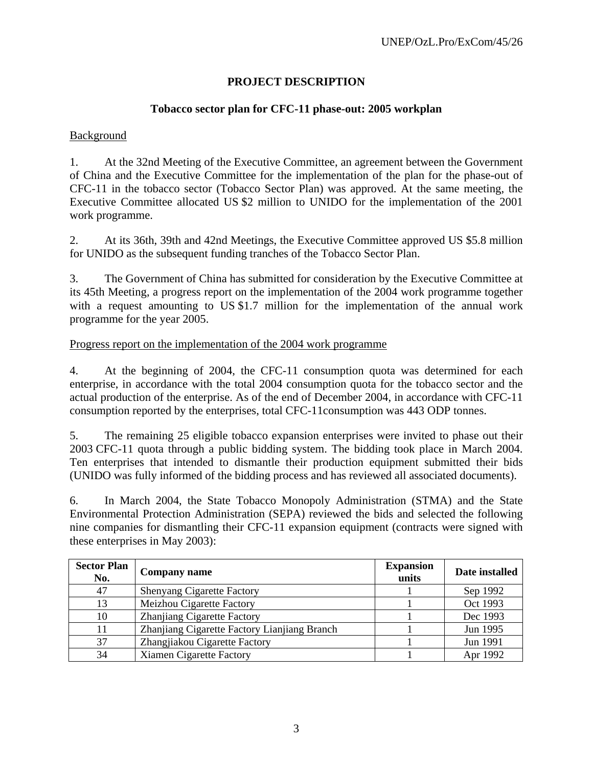# **PROJECT DESCRIPTION**

# **Tobacco sector plan for CFC-11 phase-out: 2005 workplan**

# Background

1. At the 32nd Meeting of the Executive Committee, an agreement between the Government of China and the Executive Committee for the implementation of the plan for the phase-out of CFC-11 in the tobacco sector (Tobacco Sector Plan) was approved. At the same meeting, the Executive Committee allocated US \$2 million to UNIDO for the implementation of the 2001 work programme.

2. At its 36th, 39th and 42nd Meetings, the Executive Committee approved US \$5.8 million for UNIDO as the subsequent funding tranches of the Tobacco Sector Plan.

3. The Government of China has submitted for consideration by the Executive Committee at its 45th Meeting, a progress report on the implementation of the 2004 work programme together with a request amounting to US \$1.7 million for the implementation of the annual work programme for the year 2005.

# Progress report on the implementation of the 2004 work programme

4. At the beginning of 2004, the CFC-11 consumption quota was determined for each enterprise, in accordance with the total 2004 consumption quota for the tobacco sector and the actual production of the enterprise. As of the end of December 2004, in accordance with CFC-11 consumption reported by the enterprises, total CFC-11consumption was 443 ODP tonnes.

5. The remaining 25 eligible tobacco expansion enterprises were invited to phase out their 2003 CFC-11 quota through a public bidding system. The bidding took place in March 2004. Ten enterprises that intended to dismantle their production equipment submitted their bids (UNIDO was fully informed of the bidding process and has reviewed all associated documents).

6. In March 2004, the State Tobacco Monopoly Administration (STMA) and the State Environmental Protection Administration (SEPA) reviewed the bids and selected the following nine companies for dismantling their CFC-11 expansion equipment (contracts were signed with these enterprises in May 2003):

| <b>Sector Plan</b><br>No. | Company name                                 | <b>Expansion</b><br>units | Date installed |
|---------------------------|----------------------------------------------|---------------------------|----------------|
| 47                        | <b>Shenyang Cigarette Factory</b>            |                           | Sep 1992       |
| 13                        | Meizhou Cigarette Factory                    |                           | Oct 1993       |
| 10                        | Zhanjiang Cigarette Factory                  |                           | Dec 1993       |
|                           | Zhanjiang Cigarette Factory Lianjiang Branch |                           | Jun 1995       |
| 37                        | Zhangjiakou Cigarette Factory                |                           | Jun 1991       |
| 34                        | <b>Xiamen Cigarette Factory</b>              |                           | Apr 1992       |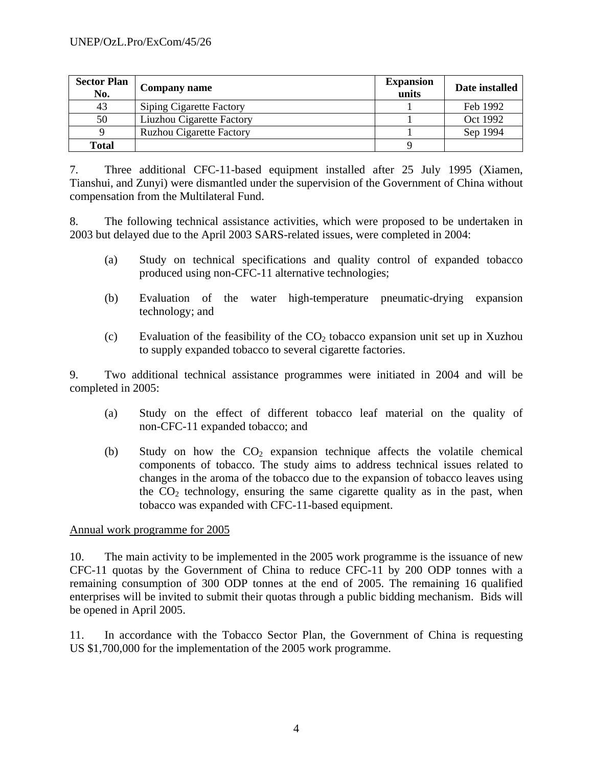| <b>Sector Plan</b><br>No. | <b>Company name</b>             | <b>Expansion</b><br>units | Date installed |
|---------------------------|---------------------------------|---------------------------|----------------|
| 43                        | <b>Siping Cigarette Factory</b> |                           | Feb 1992       |
| 50                        | Liuzhou Cigarette Factory       |                           | Oct 1992       |
|                           | <b>Ruzhou Cigarette Factory</b> |                           | Sep 1994       |
| <b>Total</b>              |                                 |                           |                |

7. Three additional CFC-11-based equipment installed after 25 July 1995 (Xiamen, Tianshui, and Zunyi) were dismantled under the supervision of the Government of China without compensation from the Multilateral Fund.

8. The following technical assistance activities, which were proposed to be undertaken in 2003 but delayed due to the April 2003 SARS-related issues, were completed in 2004:

- (a) Study on technical specifications and quality control of expanded tobacco produced using non-CFC-11 alternative technologies;
- (b) Evaluation of the water high-temperature pneumatic-drying expansion technology; and
- (c) Evaluation of the feasibility of the  $CO<sub>2</sub>$  tobacco expansion unit set up in Xuzhou to supply expanded tobacco to several cigarette factories.

9. Two additional technical assistance programmes were initiated in 2004 and will be completed in 2005:

- (a) Study on the effect of different tobacco leaf material on the quality of non-CFC-11 expanded tobacco; and
- (b) Study on how the  $CO<sub>2</sub>$  expansion technique affects the volatile chemical components of tobacco. The study aims to address technical issues related to changes in the aroma of the tobacco due to the expansion of tobacco leaves using the  $CO<sub>2</sub>$  technology, ensuring the same cigarette quality as in the past, when tobacco was expanded with CFC-11-based equipment.

# Annual work programme for 2005

10. The main activity to be implemented in the 2005 work programme is the issuance of new CFC-11 quotas by the Government of China to reduce CFC-11 by 200 ODP tonnes with a remaining consumption of 300 ODP tonnes at the end of 2005. The remaining 16 qualified enterprises will be invited to submit their quotas through a public bidding mechanism. Bids will be opened in April 2005.

11. In accordance with the Tobacco Sector Plan, the Government of China is requesting US \$1,700,000 for the implementation of the 2005 work programme.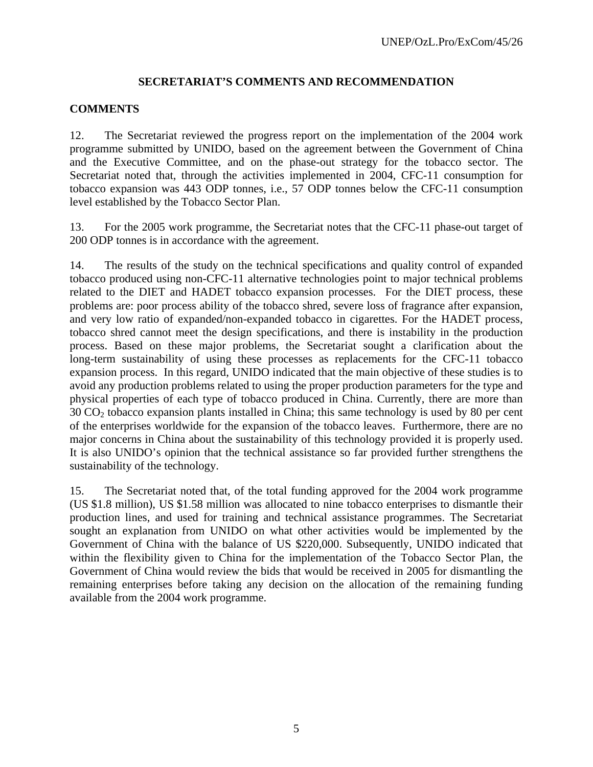# **SECRETARIAT'S COMMENTS AND RECOMMENDATION**

# **COMMENTS**

12. The Secretariat reviewed the progress report on the implementation of the 2004 work programme submitted by UNIDO, based on the agreement between the Government of China and the Executive Committee, and on the phase-out strategy for the tobacco sector. The Secretariat noted that, through the activities implemented in 2004, CFC-11 consumption for tobacco expansion was 443 ODP tonnes, i.e., 57 ODP tonnes below the CFC-11 consumption level established by the Tobacco Sector Plan.

13. For the 2005 work programme, the Secretariat notes that the CFC-11 phase-out target of 200 ODP tonnes is in accordance with the agreement.

14. The results of the study on the technical specifications and quality control of expanded tobacco produced using non-CFC-11 alternative technologies point to major technical problems related to the DIET and HADET tobacco expansion processes. For the DIET process, these problems are: poor process ability of the tobacco shred, severe loss of fragrance after expansion, and very low ratio of expanded/non-expanded tobacco in cigarettes. For the HADET process, tobacco shred cannot meet the design specifications, and there is instability in the production process. Based on these major problems, the Secretariat sought a clarification about the long-term sustainability of using these processes as replacements for the CFC-11 tobacco expansion process. In this regard, UNIDO indicated that the main objective of these studies is to avoid any production problems related to using the proper production parameters for the type and physical properties of each type of tobacco produced in China. Currently, there are more than  $30 \text{ CO}_2$  tobacco expansion plants installed in China; this same technology is used by 80 per cent of the enterprises worldwide for the expansion of the tobacco leaves. Furthermore, there are no major concerns in China about the sustainability of this technology provided it is properly used. It is also UNIDO's opinion that the technical assistance so far provided further strengthens the sustainability of the technology.

15. The Secretariat noted that, of the total funding approved for the 2004 work programme (US \$1.8 million), US \$1.58 million was allocated to nine tobacco enterprises to dismantle their production lines, and used for training and technical assistance programmes. The Secretariat sought an explanation from UNIDO on what other activities would be implemented by the Government of China with the balance of US \$220,000. Subsequently, UNIDO indicated that within the flexibility given to China for the implementation of the Tobacco Sector Plan, the Government of China would review the bids that would be received in 2005 for dismantling the remaining enterprises before taking any decision on the allocation of the remaining funding available from the 2004 work programme.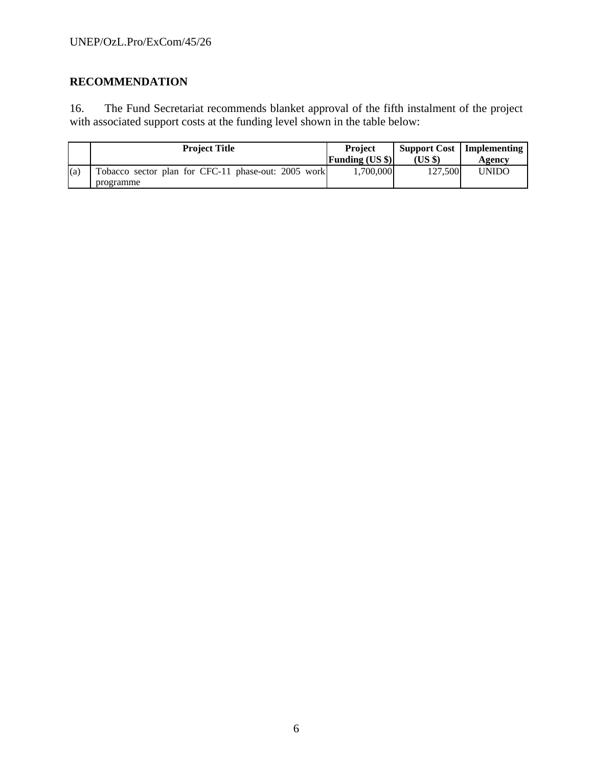# **RECOMMENDATION**

16. The Fund Secretariat recommends blanket approval of the fifth instalment of the project with associated support costs at the funding level shown in the table below:

|     | <b>Project Title</b>                                             | <b>Project</b>         | <b>Support Cost</b> | Implementing |
|-----|------------------------------------------------------------------|------------------------|---------------------|--------------|
|     |                                                                  | <b>Funding (US \$)</b> | (US \$)             | Agency       |
| (a) | Tobacco sector plan for CFC-11 phase-out: 2005 work<br>programme | 1.700.000              | 127.500             | <b>UNIDO</b> |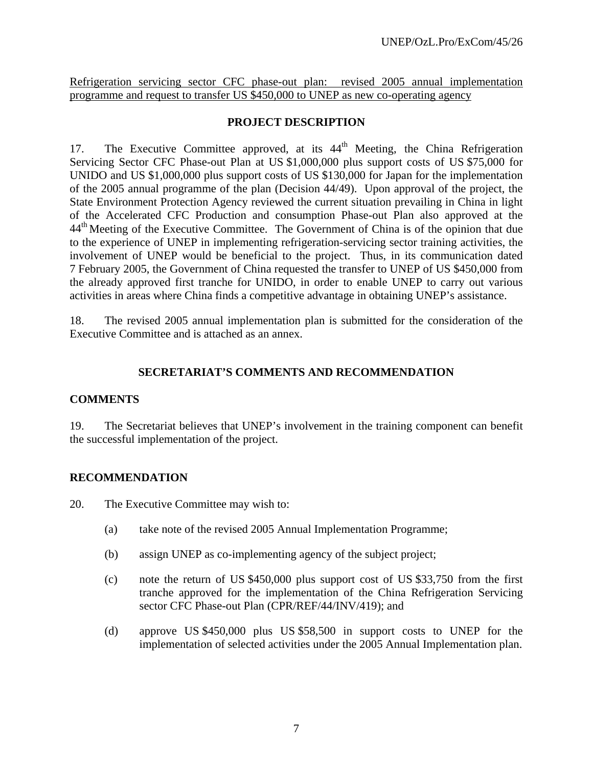Refrigeration servicing sector CFC phase-out plan: revised 2005 annual implementation programme and request to transfer US \$450,000 to UNEP as new co-operating agency

# **PROJECT DESCRIPTION**

17. The Executive Committee approved, at its 44<sup>th</sup> Meeting, the China Refrigeration Servicing Sector CFC Phase-out Plan at US \$1,000,000 plus support costs of US \$75,000 for UNIDO and US \$1,000,000 plus support costs of US \$130,000 for Japan for the implementation of the 2005 annual programme of the plan (Decision 44/49). Upon approval of the project, the State Environment Protection Agency reviewed the current situation prevailing in China in light of the Accelerated CFC Production and consumption Phase-out Plan also approved at the 44<sup>th</sup> Meeting of the Executive Committee. The Government of China is of the opinion that due to the experience of UNEP in implementing refrigeration-servicing sector training activities, the involvement of UNEP would be beneficial to the project. Thus, in its communication dated 7 February 2005, the Government of China requested the transfer to UNEP of US \$450,000 from the already approved first tranche for UNIDO, in order to enable UNEP to carry out various activities in areas where China finds a competitive advantage in obtaining UNEP's assistance.

18. The revised 2005 annual implementation plan is submitted for the consideration of the Executive Committee and is attached as an annex.

# **SECRETARIAT'S COMMENTS AND RECOMMENDATION**

# **COMMENTS**

19. The Secretariat believes that UNEP's involvement in the training component can benefit the successful implementation of the project.

# **RECOMMENDATION**

20. The Executive Committee may wish to:

- (a) take note of the revised 2005 Annual Implementation Programme;
- (b) assign UNEP as co-implementing agency of the subject project;
- (c) note the return of US \$450,000 plus support cost of US \$33,750 from the first tranche approved for the implementation of the China Refrigeration Servicing sector CFC Phase-out Plan (CPR/REF/44/INV/419); and
- (d) approve US \$450,000 plus US \$58,500 in support costs to UNEP for the implementation of selected activities under the 2005 Annual Implementation plan.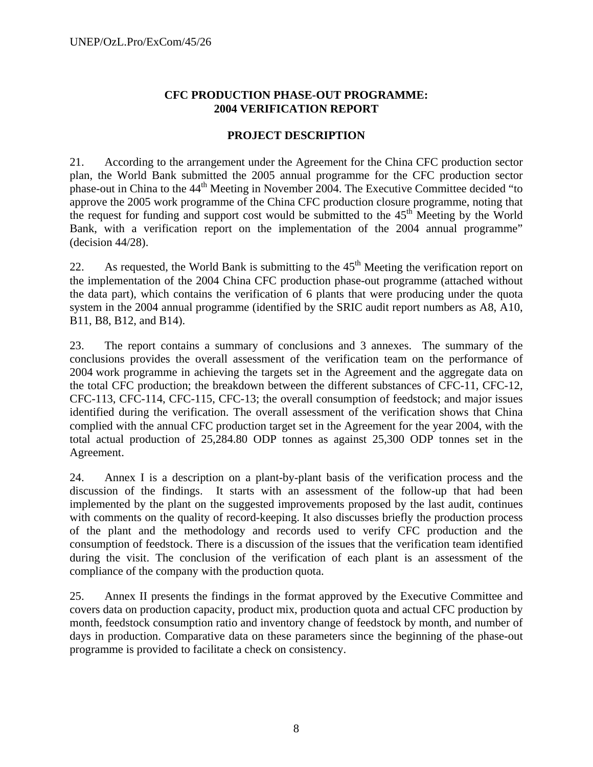# **CFC PRODUCTION PHASE-OUT PROGRAMME: 2004 VERIFICATION REPORT**

# **PROJECT DESCRIPTION**

21. According to the arrangement under the Agreement for the China CFC production sector plan, the World Bank submitted the 2005 annual programme for the CFC production sector phase-out in China to the 44<sup>th</sup> Meeting in November 2004. The Executive Committee decided "to approve the 2005 work programme of the China CFC production closure programme, noting that the request for funding and support cost would be submitted to the  $45<sup>th</sup>$  Meeting by the World Bank, with a verification report on the implementation of the 2004 annual programme" (decision 44/28).

22. As requested, the World Bank is submitting to the  $45<sup>th</sup>$  Meeting the verification report on the implementation of the 2004 China CFC production phase-out programme (attached without the data part), which contains the verification of 6 plants that were producing under the quota system in the 2004 annual programme (identified by the SRIC audit report numbers as A8, A10, B11, B8, B12, and B14).

23. The report contains a summary of conclusions and 3 annexes. The summary of the conclusions provides the overall assessment of the verification team on the performance of 2004 work programme in achieving the targets set in the Agreement and the aggregate data on the total CFC production; the breakdown between the different substances of CFC-11, CFC-12, CFC-113, CFC-114, CFC-115, CFC-13; the overall consumption of feedstock; and major issues identified during the verification. The overall assessment of the verification shows that China complied with the annual CFC production target set in the Agreement for the year 2004, with the total actual production of 25,284.80 ODP tonnes as against 25,300 ODP tonnes set in the Agreement.

24. Annex I is a description on a plant-by-plant basis of the verification process and the discussion of the findings. It starts with an assessment of the follow-up that had been implemented by the plant on the suggested improvements proposed by the last audit, continues with comments on the quality of record-keeping. It also discusses briefly the production process of the plant and the methodology and records used to verify CFC production and the consumption of feedstock. There is a discussion of the issues that the verification team identified during the visit. The conclusion of the verification of each plant is an assessment of the compliance of the company with the production quota.

25. Annex II presents the findings in the format approved by the Executive Committee and covers data on production capacity, product mix, production quota and actual CFC production by month, feedstock consumption ratio and inventory change of feedstock by month, and number of days in production. Comparative data on these parameters since the beginning of the phase-out programme is provided to facilitate a check on consistency.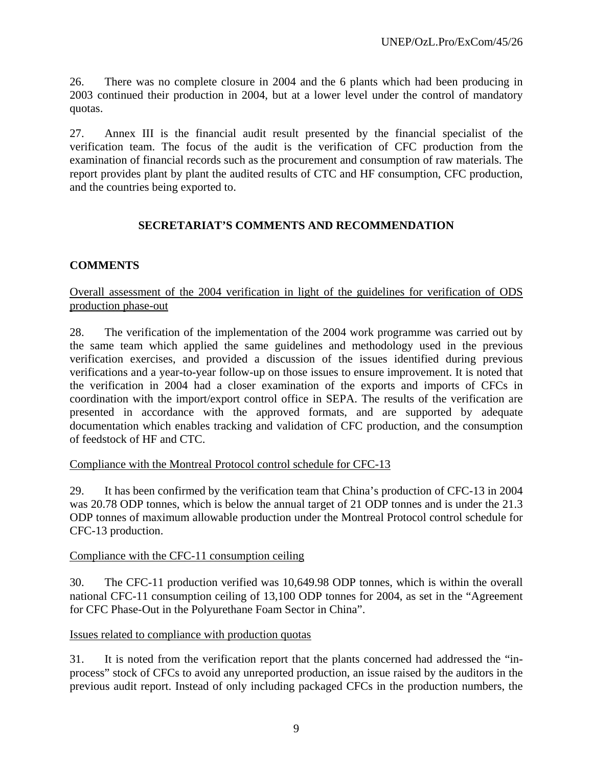26. There was no complete closure in 2004 and the 6 plants which had been producing in 2003 continued their production in 2004, but at a lower level under the control of mandatory quotas.

27. Annex III is the financial audit result presented by the financial specialist of the verification team. The focus of the audit is the verification of CFC production from the examination of financial records such as the procurement and consumption of raw materials. The report provides plant by plant the audited results of CTC and HF consumption, CFC production, and the countries being exported to.

# **SECRETARIAT'S COMMENTS AND RECOMMENDATION**

# **COMMENTS**

Overall assessment of the 2004 verification in light of the guidelines for verification of ODS production phase-out

28. The verification of the implementation of the 2004 work programme was carried out by the same team which applied the same guidelines and methodology used in the previous verification exercises, and provided a discussion of the issues identified during previous verifications and a year-to-year follow-up on those issues to ensure improvement. It is noted that the verification in 2004 had a closer examination of the exports and imports of CFCs in coordination with the import/export control office in SEPA. The results of the verification are presented in accordance with the approved formats, and are supported by adequate documentation which enables tracking and validation of CFC production, and the consumption of feedstock of HF and CTC.

# Compliance with the Montreal Protocol control schedule for CFC-13

29. It has been confirmed by the verification team that China's production of CFC-13 in 2004 was 20.78 ODP tonnes, which is below the annual target of 21 ODP tonnes and is under the 21.3 ODP tonnes of maximum allowable production under the Montreal Protocol control schedule for CFC-13 production.

# Compliance with the CFC-11 consumption ceiling

30. The CFC-11 production verified was 10,649.98 ODP tonnes, which is within the overall national CFC-11 consumption ceiling of 13,100 ODP tonnes for 2004, as set in the "Agreement for CFC Phase-Out in the Polyurethane Foam Sector in China".

#### Issues related to compliance with production quotas

31. It is noted from the verification report that the plants concerned had addressed the "inprocess" stock of CFCs to avoid any unreported production, an issue raised by the auditors in the previous audit report. Instead of only including packaged CFCs in the production numbers, the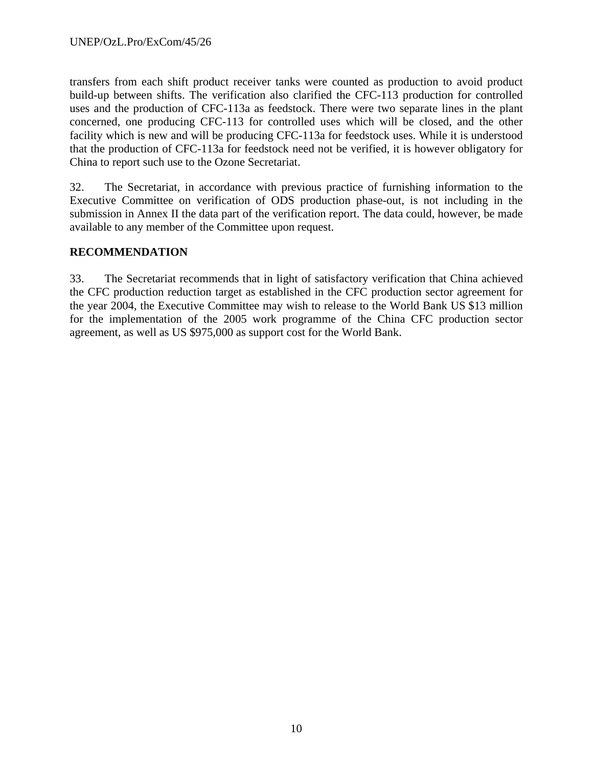transfers from each shift product receiver tanks were counted as production to avoid product build-up between shifts. The verification also clarified the CFC-113 production for controlled uses and the production of CFC-113a as feedstock. There were two separate lines in the plant concerned, one producing CFC-113 for controlled uses which will be closed, and the other facility which is new and will be producing CFC-113a for feedstock uses. While it is understood that the production of CFC-113a for feedstock need not be verified, it is however obligatory for China to report such use to the Ozone Secretariat.

32. The Secretariat, in accordance with previous practice of furnishing information to the Executive Committee on verification of ODS production phase-out, is not including in the submission in Annex II the data part of the verification report. The data could, however, be made available to any member of the Committee upon request.

# **RECOMMENDATION**

33. The Secretariat recommends that in light of satisfactory verification that China achieved the CFC production reduction target as established in the CFC production sector agreement for the year 2004, the Executive Committee may wish to release to the World Bank US \$13 million for the implementation of the 2005 work programme of the China CFC production sector agreement, as well as US \$975,000 as support cost for the World Bank.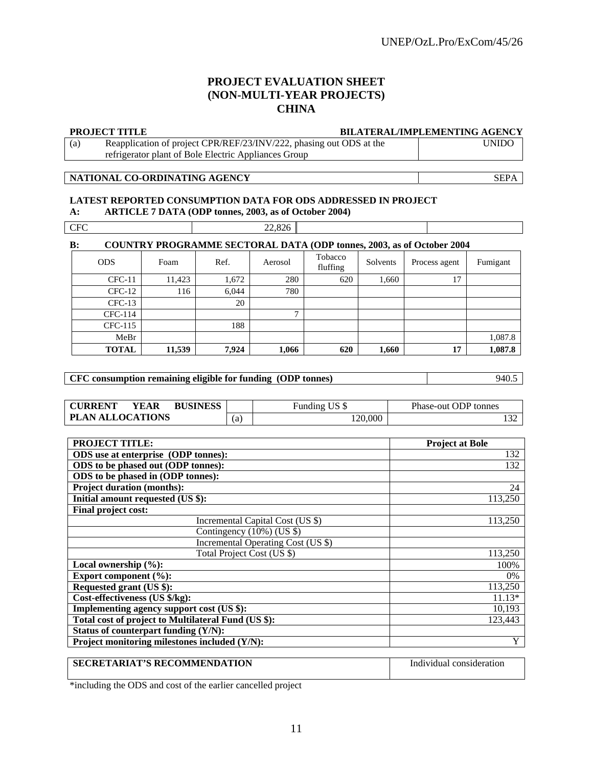#### **PROJECT EVALUATION SHEET (NON-MULTI-YEAR PROJECTS) CHINA**

|     | <b>PROJECT TITLE</b>                                                | <b>BILATERAL/IMPLEMENTING AGENCY</b> |
|-----|---------------------------------------------------------------------|--------------------------------------|
| (a) | Reapplication of project CPR/REF/23/INV/222, phasing out ODS at the | <b>UNIDO</b>                         |
|     | refrigerator plant of Bole Electric Appliances Group                |                                      |

#### **NATIONAL CO-ORDINATING AGENCY** SEPA

#### **LATEST REPORTED CONSUMPTION DATA FOR ODS ADDRESSED IN PROJECT A: ARTICLE 7 DATA (ODP tonnes, 2003, as of October 2004)**

| <b>CFC</b> |            |        |       | 22,826       |                     |          |                                                                              |          |
|------------|------------|--------|-------|--------------|---------------------|----------|------------------------------------------------------------------------------|----------|
| B:         |            |        |       |              |                     |          | <b>COUNTRY PROGRAMME SECTORAL DATA (ODP tonnes, 2003, as of October 2004</b> |          |
|            | <b>ODS</b> | Foam   | Ref.  | Aerosol      | Tobacco<br>fluffing | Solvents | Process agent                                                                | Fumigant |
|            | $CFC-11$   | 11,423 | 1,672 | 280          | 620                 | 1,660    | 17                                                                           |          |
|            | $CFC-12$   | 116    | 6,044 | 780          |                     |          |                                                                              |          |
|            | $CFC-13$   |        | 20    |              |                     |          |                                                                              |          |
|            | CFC-114    |        |       | $\mathbf{r}$ |                     |          |                                                                              |          |
|            | CFC-115    |        | 188   |              |                     |          |                                                                              |          |
|            | MeBr       |        |       |              |                     |          |                                                                              | 1,087.8  |

**CFC consumption remaining eligible for funding (ODP tonnes)** 940.5

**CURRENT YEAR BUSINESS** Funding US \$ Phase-out ODP tonnes **PLAN ALLOCATIONS** (a) 120,000 132

**TOTAL 11,539 7,924 1,066 620 1,660 17 1,087.8** 

| <b>PROJECT TITLE:</b>                               | <b>Project at Bole</b> |
|-----------------------------------------------------|------------------------|
| ODS use at enterprise (ODP tonnes):                 | 132                    |
| ODS to be phased out (ODP tonnes):                  | 132                    |
| ODS to be phased in (ODP tonnes):                   |                        |
| <b>Project duration (months):</b>                   | 24                     |
| Initial amount requested (US \$):                   | 113,250                |
| Final project cost:                                 |                        |
| Incremental Capital Cost (US \$)                    | 113,250                |
| Contingency $(10\%)$ (US \$)                        |                        |
| Incremental Operating Cost (US \$)                  |                        |
| Total Project Cost (US \$)                          | 113,250                |
| Local ownership $(\%):$                             | 100%                   |
| Export component $(\%):$                            | $0\%$                  |
| Requested grant (US \$):                            | 113,250                |
| Cost-effectiveness (US \$/kg):                      | $11.13*$               |
| Implementing agency support cost (US \$):           | 10,193                 |
| Total cost of project to Multilateral Fund (US \$): | 123,443                |
| Status of counterpart funding (Y/N):                |                        |
| Project monitoring milestones included (Y/N):       | Y                      |

# **SECRETARIAT'S RECOMMENDATION** Individual consideration

\*including the ODS and cost of the earlier cancelled project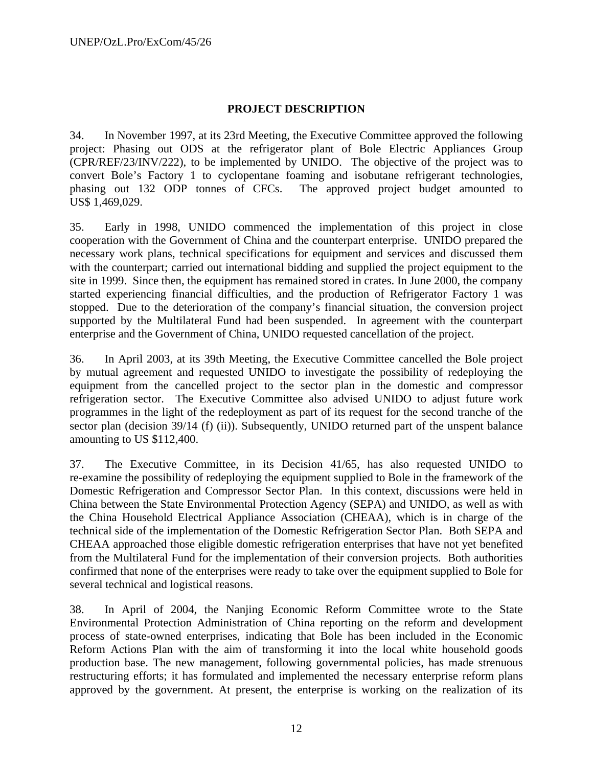# **PROJECT DESCRIPTION**

34. In November 1997, at its 23rd Meeting, the Executive Committee approved the following project: Phasing out ODS at the refrigerator plant of Bole Electric Appliances Group (CPR/REF/23/INV/222), to be implemented by UNIDO. The objective of the project was to convert Bole's Factory 1 to cyclopentane foaming and isobutane refrigerant technologies, phasing out 132 ODP tonnes of CFCs. The approved project budget amounted to US\$ 1,469,029.

35. Early in 1998, UNIDO commenced the implementation of this project in close cooperation with the Government of China and the counterpart enterprise. UNIDO prepared the necessary work plans, technical specifications for equipment and services and discussed them with the counterpart; carried out international bidding and supplied the project equipment to the site in 1999. Since then, the equipment has remained stored in crates. In June 2000, the company started experiencing financial difficulties, and the production of Refrigerator Factory 1 was stopped. Due to the deterioration of the company's financial situation, the conversion project supported by the Multilateral Fund had been suspended. In agreement with the counterpart enterprise and the Government of China, UNIDO requested cancellation of the project.

36. In April 2003, at its 39th Meeting, the Executive Committee cancelled the Bole project by mutual agreement and requested UNIDO to investigate the possibility of redeploying the equipment from the cancelled project to the sector plan in the domestic and compressor refrigeration sector. The Executive Committee also advised UNIDO to adjust future work programmes in the light of the redeployment as part of its request for the second tranche of the sector plan (decision 39/14 (f) (ii)). Subsequently, UNIDO returned part of the unspent balance amounting to US \$112,400.

37. The Executive Committee, in its Decision 41/65, has also requested UNIDO to re-examine the possibility of redeploying the equipment supplied to Bole in the framework of the Domestic Refrigeration and Compressor Sector Plan. In this context, discussions were held in China between the State Environmental Protection Agency (SEPA) and UNIDO, as well as with the China Household Electrical Appliance Association (CHEAA), which is in charge of the technical side of the implementation of the Domestic Refrigeration Sector Plan. Both SEPA and CHEAA approached those eligible domestic refrigeration enterprises that have not yet benefited from the Multilateral Fund for the implementation of their conversion projects. Both authorities confirmed that none of the enterprises were ready to take over the equipment supplied to Bole for several technical and logistical reasons.

38. In April of 2004, the Nanjing Economic Reform Committee wrote to the State Environmental Protection Administration of China reporting on the reform and development process of state-owned enterprises, indicating that Bole has been included in the Economic Reform Actions Plan with the aim of transforming it into the local white household goods production base. The new management, following governmental policies, has made strenuous restructuring efforts; it has formulated and implemented the necessary enterprise reform plans approved by the government. At present, the enterprise is working on the realization of its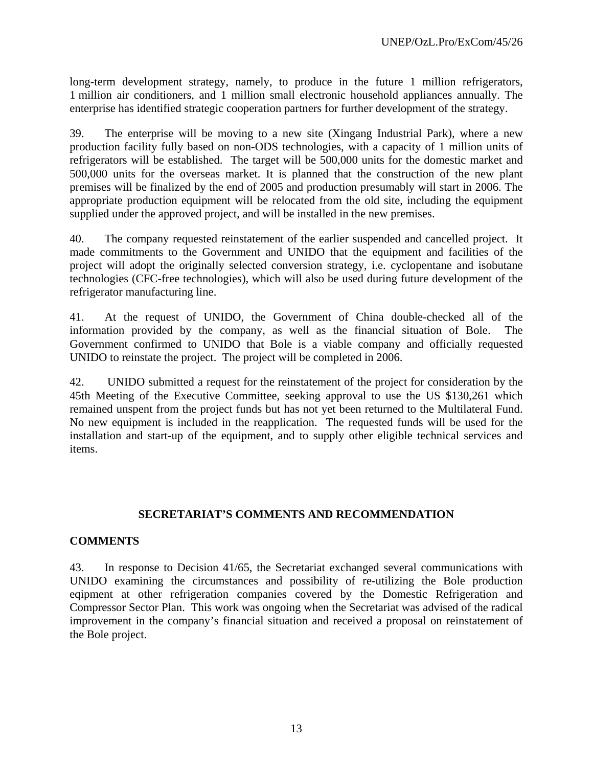long-term development strategy, namely, to produce in the future 1 million refrigerators, 1 million air conditioners, and 1 million small electronic household appliances annually. The enterprise has identified strategic cooperation partners for further development of the strategy.

39. The enterprise will be moving to a new site (Xingang Industrial Park), where a new production facility fully based on non-ODS technologies, with a capacity of 1 million units of refrigerators will be established. The target will be 500,000 units for the domestic market and 500,000 units for the overseas market. It is planned that the construction of the new plant premises will be finalized by the end of 2005 and production presumably will start in 2006. The appropriate production equipment will be relocated from the old site, including the equipment supplied under the approved project, and will be installed in the new premises.

40. The company requested reinstatement of the earlier suspended and cancelled project. It made commitments to the Government and UNIDO that the equipment and facilities of the project will adopt the originally selected conversion strategy, i.e. cyclopentane and isobutane technologies (CFC-free technologies), which will also be used during future development of the refrigerator manufacturing line.

41. At the request of UNIDO, the Government of China double-checked all of the information provided by the company, as well as the financial situation of Bole. The Government confirmed to UNIDO that Bole is a viable company and officially requested UNIDO to reinstate the project. The project will be completed in 2006.

42. UNIDO submitted a request for the reinstatement of the project for consideration by the 45th Meeting of the Executive Committee, seeking approval to use the US \$130,261 which remained unspent from the project funds but has not yet been returned to the Multilateral Fund. No new equipment is included in the reapplication. The requested funds will be used for the installation and start-up of the equipment, and to supply other eligible technical services and items.

# **SECRETARIAT'S COMMENTS AND RECOMMENDATION**

# **COMMENTS**

43. In response to Decision 41/65, the Secretariat exchanged several communications with UNIDO examining the circumstances and possibility of re-utilizing the Bole production eqipment at other refrigeration companies covered by the Domestic Refrigeration and Compressor Sector Plan. This work was ongoing when the Secretariat was advised of the radical improvement in the company's financial situation and received a proposal on reinstatement of the Bole project.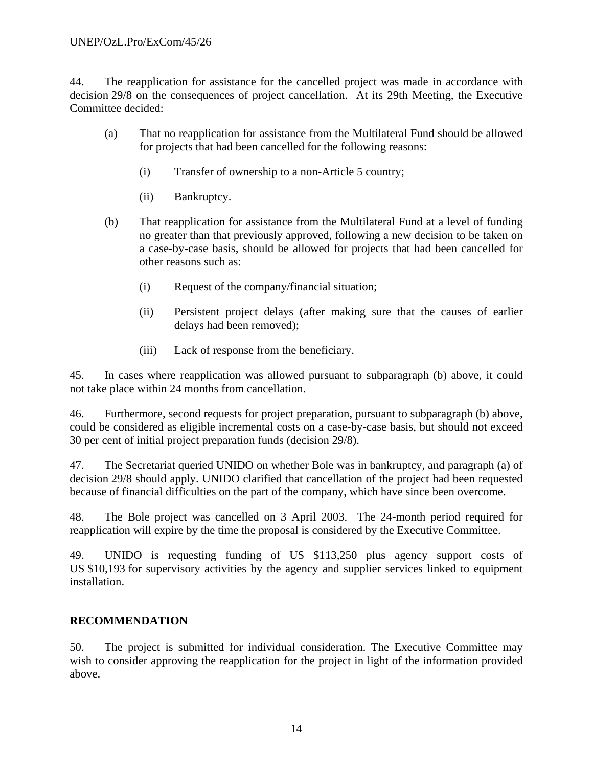# UNEP/OzL.Pro/ExCom/45/26

44. The reapplication for assistance for the cancelled project was made in accordance with decision 29/8 on the consequences of project cancellation. At its 29th Meeting, the Executive Committee decided:

- (a) That no reapplication for assistance from the Multilateral Fund should be allowed for projects that had been cancelled for the following reasons:
	- (i) Transfer of ownership to a non-Article 5 country;
	- (ii) Bankruptcy.
- (b) That reapplication for assistance from the Multilateral Fund at a level of funding no greater than that previously approved, following a new decision to be taken on a case-by-case basis, should be allowed for projects that had been cancelled for other reasons such as:
	- (i) Request of the company/financial situation;
	- (ii) Persistent project delays (after making sure that the causes of earlier delays had been removed);
	- (iii) Lack of response from the beneficiary.

45. In cases where reapplication was allowed pursuant to subparagraph (b) above, it could not take place within 24 months from cancellation.

46. Furthermore, second requests for project preparation, pursuant to subparagraph (b) above, could be considered as eligible incremental costs on a case-by-case basis, but should not exceed 30 per cent of initial project preparation funds (decision 29/8).

47. The Secretariat queried UNIDO on whether Bole was in bankruptcy, and paragraph (a) of decision 29/8 should apply. UNIDO clarified that cancellation of the project had been requested because of financial difficulties on the part of the company, which have since been overcome.

48. The Bole project was cancelled on 3 April 2003. The 24-month period required for reapplication will expire by the time the proposal is considered by the Executive Committee.

49. UNIDO is requesting funding of US \$113,250 plus agency support costs of US \$10,193 for supervisory activities by the agency and supplier services linked to equipment installation.

# **RECOMMENDATION**

50. The project is submitted for individual consideration. The Executive Committee may wish to consider approving the reapplication for the project in light of the information provided above.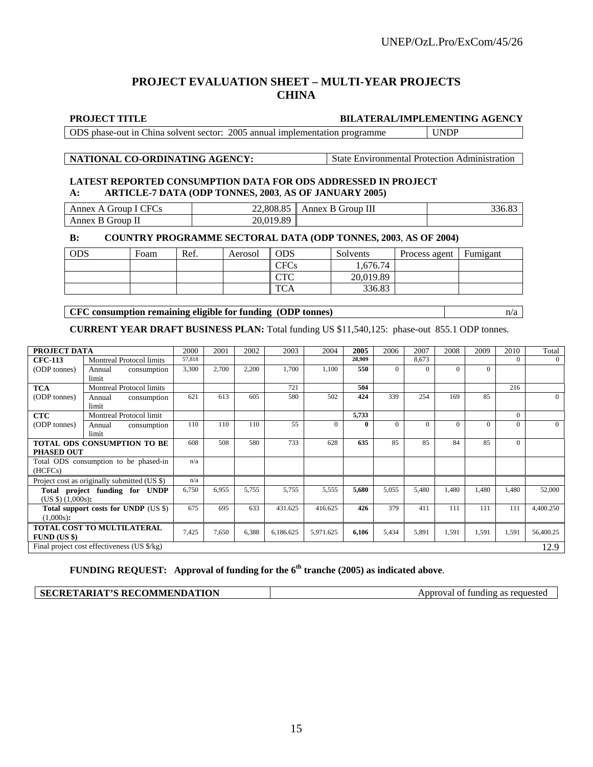# **PROJECT EVALUATION SHEET – MULTI-YEAR PROJECTS CHINA**

| <b>PROJECT TITLE</b>                                                        | <b>BILATERAL/IMPLEMENTING AGENCY</b> |
|-----------------------------------------------------------------------------|--------------------------------------|
| ODS phase-out in China solvent sector: 2005 annual implementation programme | UNDP                                 |

#### **NATIONAL CO-ORDINATING AGENCY:** State Environmental Protection Administration

#### **LATEST REPORTED CONSUMPTION DATA FOR ODS ADDRESSED IN PROJECT A: ARTICLE-7 DATA (ODP TONNES, 2003**, **AS OF JANUARY 2005)**

| $\sim$<br>. но<br>. iroun<br>Annex<br>$\mathbf{A}$ | 22,808.85         | B Group III<br>Annex |  |
|----------------------------------------------------|-------------------|----------------------|--|
| Annex B Group II                                   | $\angle 0.019.89$ |                      |  |

#### **B: COUNTRY PROGRAMME SECTORAL DATA (ODP TONNES, 2003**, **AS OF 2004)**

| <b>ODS</b> | Foam | Ref. | Aerosol | ODS                    | Solvents  | Process agent | Fumigant |
|------------|------|------|---------|------------------------|-----------|---------------|----------|
|            |      |      |         | CFCs                   | 1.676.74  |               |          |
|            |      |      |         | $\cap$ Tr $\cap$<br>UR | 20,019.89 |               |          |
|            |      |      |         | <b>TCA</b>             | 336.83    |               |          |

**CFC consumption remaining eligible for funding (ODP tonnes)** and a n/a

**CURRENT YEAR DRAFT BUSINESS PLAN:** Total funding US \$11,540,125: phase-out 855.1 ODP tonnes.

| PROJECT DATA                                         |                                                                                                                  | 2000   | 2001  | 2002  | 2003      | 2004      | 2005   | 2006     | 2007     | 2008     | 2009     | 2010     | Total     |
|------------------------------------------------------|------------------------------------------------------------------------------------------------------------------|--------|-------|-------|-----------|-----------|--------|----------|----------|----------|----------|----------|-----------|
| <b>CFC-113</b>                                       | <b>Montreal Protocol limits</b>                                                                                  | 57.818 |       |       |           |           | 28.909 |          | 8,673    |          |          | $\Omega$ | $\Omega$  |
| (ODP tonnes)                                         | Annual<br>consumption<br>limit                                                                                   | 3,300  | 2,700 | 2,200 | 1,700     | 1,100     | 550    | $\Omega$ | $\Omega$ | $\Omega$ | $\theta$ |          |           |
| <b>TCA</b>                                           | <b>Montreal Protocol limits</b>                                                                                  |        |       |       | 721       |           | 504    |          |          |          |          | 216      |           |
| (ODP tonnes)                                         | Annual<br>consumption<br>limit                                                                                   | 621    | 613   | 605   | 580       | 502       | 424    | 339      | 254      | 169      | 85       |          | $\Omega$  |
| <b>CTC</b>                                           | Montreal Protocol limit                                                                                          |        |       |       |           |           | 5,733  |          |          |          |          | $\Omega$ |           |
| (ODP tonnes)                                         | Annual<br>consumption<br>limit                                                                                   | 110    | 110   | 110   | 55        | $\Omega$  | 0      | $\Omega$ | $\Omega$ | $\Omega$ | $\theta$ | $\Omega$ | $\Omega$  |
| <b>PHASED OUT</b>                                    | 733<br>608<br>508<br>580<br>628<br>85<br>85<br>85<br>84<br>$\Omega$<br>635<br><b>TOTAL ODS CONSUMPTION TO BE</b> |        |       |       |           |           |        |          |          |          |          |          |           |
| (HCFCs)                                              | Total ODS consumption to be phased-in                                                                            | n/a    |       |       |           |           |        |          |          |          |          |          |           |
|                                                      | Project cost as originally submitted (US \$)                                                                     | n/a    |       |       |           |           |        |          |          |          |          |          |           |
| (US \$) (1,000s):                                    | Total project funding for UNDP                                                                                   | 6,750  | 6,955 | 5,755 | 5,755     | 5,555     | 5,680  | 5,055    | 5,480    | 1,480    | 1,480    | 1,480    | 52,000    |
| Total support costs for UNDP (US \$)<br>$(1,000s)$ : |                                                                                                                  | 675    | 695   | 633   | 431.625   | 416.625   | 426    | 379      | 411      | 111      | 111      | 111      | 4,400.250 |
| $FUND$ (US \$)                                       | TOTAL COST TO MULTILATERAL                                                                                       | 7,425  | 7,650 | 6,388 | 6,186.625 | 5,971.625 | 6,106  | 5,434    | 5,891    | 1,591    | 1,591    | 1,591    | 56,400.25 |
|                                                      | Final project cost effectiveness (US \$/kg)                                                                      |        |       |       |           |           |        |          |          |          |          |          | 12.9      |

**FUNDING REQUEST: Approval of funding for the 6th tranche (2005) as indicated above**.

**SECRETARIAT'S RECOMMENDATION** Approval of funding as requested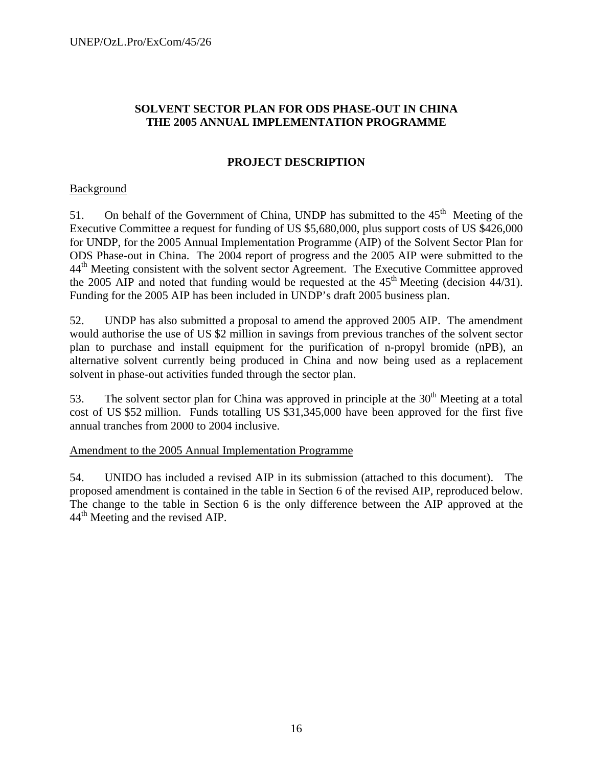# **SOLVENT SECTOR PLAN FOR ODS PHASE-OUT IN CHINA THE 2005 ANNUAL IMPLEMENTATION PROGRAMME**

# **PROJECT DESCRIPTION**

# Background

51. On behalf of the Government of China, UNDP has submitted to the  $45<sup>th</sup>$  Meeting of the Executive Committee a request for funding of US \$5,680,000, plus support costs of US \$426,000 for UNDP, for the 2005 Annual Implementation Programme (AIP) of the Solvent Sector Plan for ODS Phase-out in China. The 2004 report of progress and the 2005 AIP were submitted to the 44<sup>th</sup> Meeting consistent with the solvent sector Agreement. The Executive Committee approved the 2005 AIP and noted that funding would be requested at the  $45<sup>th</sup>$  Meeting (decision 44/31). Funding for the 2005 AIP has been included in UNDP's draft 2005 business plan.

52. UNDP has also submitted a proposal to amend the approved 2005 AIP. The amendment would authorise the use of US \$2 million in savings from previous tranches of the solvent sector plan to purchase and install equipment for the purification of n-propyl bromide (nPB), an alternative solvent currently being produced in China and now being used as a replacement solvent in phase-out activities funded through the sector plan.

53. The solvent sector plan for China was approved in principle at the  $30<sup>th</sup>$  Meeting at a total cost of US \$52 million. Funds totalling US \$31,345,000 have been approved for the first five annual tranches from 2000 to 2004 inclusive.

#### Amendment to the 2005 Annual Implementation Programme

54. UNIDO has included a revised AIP in its submission (attached to this document). The proposed amendment is contained in the table in Section 6 of the revised AIP, reproduced below. The change to the table in Section 6 is the only difference between the AIP approved at the 44<sup>th</sup> Meeting and the revised AIP.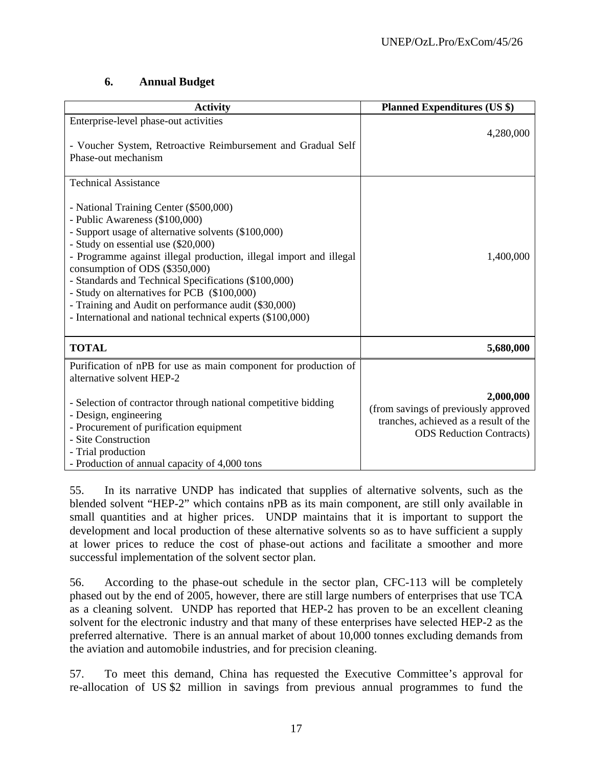# **6. Annual Budget**

| <b>Activity</b>                                                                                                                                                                                                                                                                                                                                                                                                                                                                                                                            | <b>Planned Expenditures (US \$)</b>                                                                                           |
|--------------------------------------------------------------------------------------------------------------------------------------------------------------------------------------------------------------------------------------------------------------------------------------------------------------------------------------------------------------------------------------------------------------------------------------------------------------------------------------------------------------------------------------------|-------------------------------------------------------------------------------------------------------------------------------|
| Enterprise-level phase-out activities<br>- Voucher System, Retroactive Reimbursement and Gradual Self<br>Phase-out mechanism                                                                                                                                                                                                                                                                                                                                                                                                               | 4,280,000                                                                                                                     |
| <b>Technical Assistance</b><br>- National Training Center (\$500,000)<br>- Public Awareness (\$100,000)<br>- Support usage of alternative solvents (\$100,000)<br>- Study on essential use (\$20,000)<br>- Programme against illegal production, illegal import and illegal<br>consumption of ODS (\$350,000)<br>- Standards and Technical Specifications (\$100,000)<br>- Study on alternatives for PCB (\$100,000)<br>- Training and Audit on performance audit (\$30,000)<br>- International and national technical experts (\$100,000) | 1,400,000                                                                                                                     |
| <b>TOTAL</b>                                                                                                                                                                                                                                                                                                                                                                                                                                                                                                                               | 5,680,000                                                                                                                     |
| Purification of nPB for use as main component for production of<br>alternative solvent HEP-2<br>- Selection of contractor through national competitive bidding<br>- Design, engineering<br>- Procurement of purification equipment<br>- Site Construction<br>- Trial production<br>- Production of annual capacity of 4,000 tons                                                                                                                                                                                                           | 2,000,000<br>(from savings of previously approved<br>tranches, achieved as a result of the<br><b>ODS</b> Reduction Contracts) |

55. In its narrative UNDP has indicated that supplies of alternative solvents, such as the blended solvent "HEP-2" which contains nPB as its main component, are still only available in small quantities and at higher prices. UNDP maintains that it is important to support the development and local production of these alternative solvents so as to have sufficient a supply at lower prices to reduce the cost of phase-out actions and facilitate a smoother and more successful implementation of the solvent sector plan.

56. According to the phase-out schedule in the sector plan, CFC-113 will be completely phased out by the end of 2005, however, there are still large numbers of enterprises that use TCA as a cleaning solvent. UNDP has reported that HEP-2 has proven to be an excellent cleaning solvent for the electronic industry and that many of these enterprises have selected HEP-2 as the preferred alternative. There is an annual market of about 10,000 tonnes excluding demands from the aviation and automobile industries, and for precision cleaning.

57. To meet this demand, China has requested the Executive Committee's approval for re-allocation of US \$2 million in savings from previous annual programmes to fund the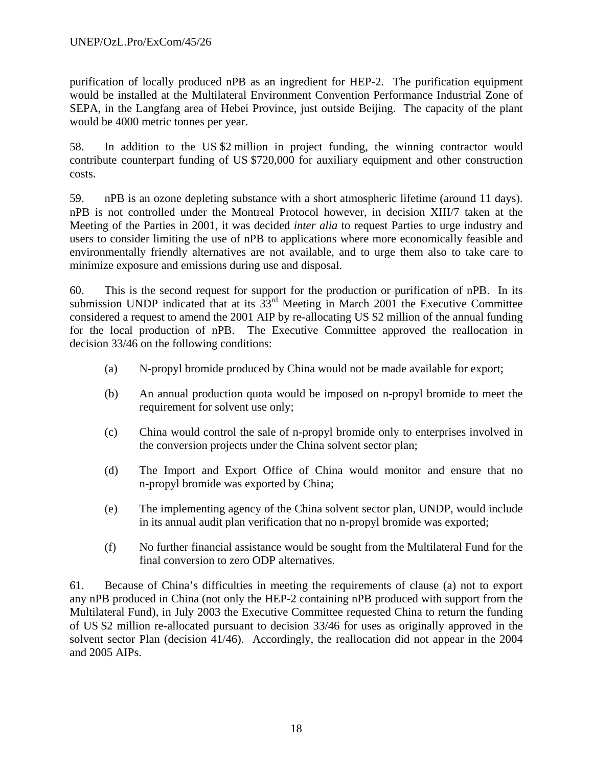purification of locally produced nPB as an ingredient for HEP-2. The purification equipment would be installed at the Multilateral Environment Convention Performance Industrial Zone of SEPA, in the Langfang area of Hebei Province, just outside Beijing. The capacity of the plant would be 4000 metric tonnes per year.

58. In addition to the US \$2 million in project funding, the winning contractor would contribute counterpart funding of US \$720,000 for auxiliary equipment and other construction costs.

59. nPB is an ozone depleting substance with a short atmospheric lifetime (around 11 days). nPB is not controlled under the Montreal Protocol however, in decision XIII/7 taken at the Meeting of the Parties in 2001, it was decided *inter alia* to request Parties to urge industry and users to consider limiting the use of nPB to applications where more economically feasible and environmentally friendly alternatives are not available, and to urge them also to take care to minimize exposure and emissions during use and disposal.

60. This is the second request for support for the production or purification of nPB. In its submission UNDP indicated that at its  $33<sup>rd</sup>$  Meeting in March 2001 the Executive Committee considered a request to amend the 2001 AIP by re-allocating US \$2 million of the annual funding for the local production of nPB. The Executive Committee approved the reallocation in decision 33/46 on the following conditions:

- (a) N-propyl bromide produced by China would not be made available for export;
- (b) An annual production quota would be imposed on n-propyl bromide to meet the requirement for solvent use only;
- (c) China would control the sale of n-propyl bromide only to enterprises involved in the conversion projects under the China solvent sector plan;
- (d) The Import and Export Office of China would monitor and ensure that no n-propyl bromide was exported by China;
- (e) The implementing agency of the China solvent sector plan, UNDP, would include in its annual audit plan verification that no n-propyl bromide was exported;
- (f) No further financial assistance would be sought from the Multilateral Fund for the final conversion to zero ODP alternatives.

61. Because of China's difficulties in meeting the requirements of clause (a) not to export any nPB produced in China (not only the HEP-2 containing nPB produced with support from the Multilateral Fund), in July 2003 the Executive Committee requested China to return the funding of US \$2 million re-allocated pursuant to decision 33/46 for uses as originally approved in the solvent sector Plan (decision 41/46). Accordingly, the reallocation did not appear in the 2004 and 2005 AIPs.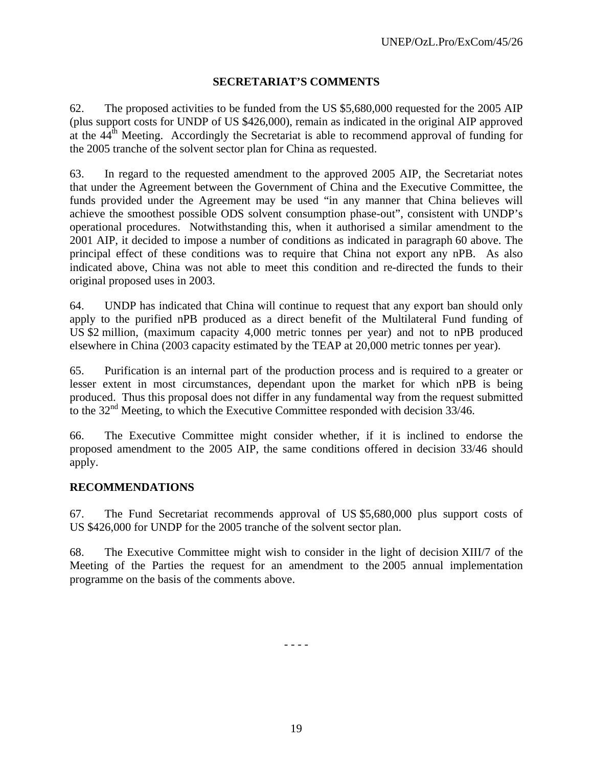# **SECRETARIAT'S COMMENTS**

62. The proposed activities to be funded from the US \$5,680,000 requested for the 2005 AIP (plus support costs for UNDP of US \$426,000), remain as indicated in the original AIP approved at the  $44<sup>th</sup>$  Meeting. Accordingly the Secretariat is able to recommend approval of funding for the 2005 tranche of the solvent sector plan for China as requested.

63. In regard to the requested amendment to the approved 2005 AIP, the Secretariat notes that under the Agreement between the Government of China and the Executive Committee, the funds provided under the Agreement may be used "in any manner that China believes will achieve the smoothest possible ODS solvent consumption phase-out", consistent with UNDP's operational procedures. Notwithstanding this, when it authorised a similar amendment to the 2001 AIP, it decided to impose a number of conditions as indicated in paragraph 60 above. The principal effect of these conditions was to require that China not export any nPB. As also indicated above, China was not able to meet this condition and re-directed the funds to their original proposed uses in 2003.

64. UNDP has indicated that China will continue to request that any export ban should only apply to the purified nPB produced as a direct benefit of the Multilateral Fund funding of US \$2 million, (maximum capacity 4,000 metric tonnes per year) and not to nPB produced elsewhere in China (2003 capacity estimated by the TEAP at 20,000 metric tonnes per year).

65. Purification is an internal part of the production process and is required to a greater or lesser extent in most circumstances, dependant upon the market for which nPB is being produced. Thus this proposal does not differ in any fundamental way from the request submitted to the  $32<sup>nd</sup>$  Meeting, to which the Executive Committee responded with decision 33/46.

66. The Executive Committee might consider whether, if it is inclined to endorse the proposed amendment to the 2005 AIP, the same conditions offered in decision 33/46 should apply.

#### **RECOMMENDATIONS**

67. The Fund Secretariat recommends approval of US \$5,680,000 plus support costs of US \$426,000 for UNDP for the 2005 tranche of the solvent sector plan.

68. The Executive Committee might wish to consider in the light of decision XIII/7 of the Meeting of the Parties the request for an amendment to the 2005 annual implementation programme on the basis of the comments above.

- - - -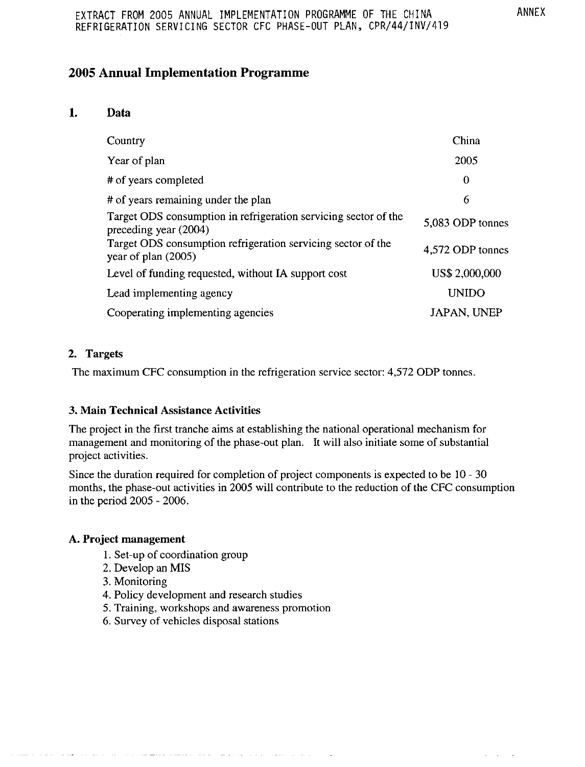# **2005 Annual Implementation Programme**

#### 1. Data

| Country                                                                                  | China              |
|------------------------------------------------------------------------------------------|--------------------|
| Year of plan                                                                             | 2005               |
| # of years completed                                                                     | $\bf{0}$           |
| # of years remaining under the plan                                                      | 6                  |
| Target ODS consumption in refrigeration servicing sector of the<br>preceding year (2004) | 5,083 ODP tonnes   |
| Target ODS consumption refrigeration servicing sector of the<br>year of plan (2005)      | 4,572 ODP tonnes   |
| Level of funding requested, without IA support cost                                      | US\$ 2,000,000     |
| Lead implementing agency                                                                 | <b>UNIDO</b>       |
| Cooperating implementing agencies                                                        | <b>JAPAN, UNEP</b> |

#### 2. Targets

The maximum CFC consumption in the refrigeration service sector: 4,572 ODP tonnes.

#### 3. Main Technical Assistance Activities

The project in the first tranche aims at establishing the national operational mechanism for management and monitoring of the phase-out plan. It will also initiate some of substantial project activities.

Since the duration required for completion of project components is expected to be 10 - 30 months, the phase-out activities in 2005 will contribute to the reduction of the CFC consumption in the period 2005 - 2006.

#### A. Project management

1. Set-up of coordination group

and manager and communications of the

- 2. Develop an MIS
- 3. Monitoring
- 4. Policy development and research studies
- 5. Training, workshops and awareness promotion

**Contract** 

6. Survey of vehicles disposal stations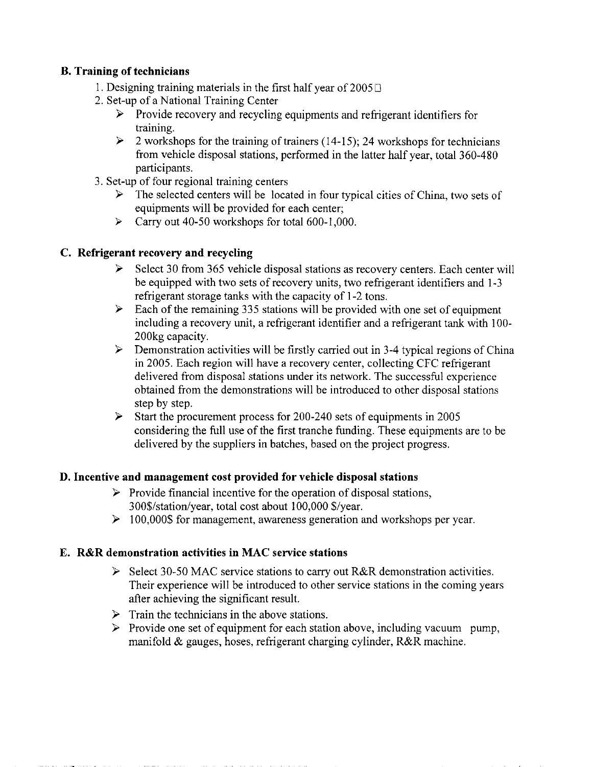# **B.** Training of technicians

- 1. Designing training materials in the first half year of  $2005\Box$
- 2. Set-up of a National Training Center
	- $\triangleright$  Provide recovery and recycling equipments and refrigerant identifiers for training.
	- $\geq$  2 workshops for the training of trainers (14-15); 24 workshops for technicians from vehicle disposal stations, performed in the latter half year, total 360-480 participants.
- 3. Set-up of four regional training centers
	- $\triangleright$  The selected centers will be located in four typical cities of China, two sets of equipments will be provided for each center;
	- $\triangleright$  Carry out 40-50 workshops for total 600-1,000.

# C. Refrigerant recovery and recycling

- $\triangleright$  Select 30 from 365 vehicle disposal stations as recovery centers. Each center will be equipped with two sets of recovery units, two refrigerant identifiers and 1-3 refrigerant storage tanks with the capacity of 1-2 tons.
- $\triangleright$  Each of the remaining 335 stations will be provided with one set of equipment including a recovery unit, a refrigerant identifier and a refrigerant tank with 100-200kg capacity.
- $\triangleright$  Demonstration activities will be firstly carried out in 3-4 typical regions of China in 2005. Each region will have a recovery center, collecting CFC refrigerant delivered from disposal stations under its network. The successful experience obtained from the demonstrations will be introduced to other disposal stations step by step.
- $\triangleright$  Start the procurement process for 200-240 sets of equipments in 2005 considering the full use of the first tranche funding. These equipments are to be delivered by the suppliers in batches, based on the project progress.

# D. Incentive and management cost provided for vehicle disposal stations

- $\triangleright$  Provide financial incentive for the operation of disposal stations, 300\$/station/year, total cost about 100,000 \$/year.
- $\geq 100,000$ \$ for management, awareness generation and workshops per year.

# E. R&R demonstration activities in MAC service stations

- $\triangleright$  Select 30-50 MAC service stations to carry out R&R demonstration activities. Their experience will be introduced to other service stations in the coming years after achieving the significant result.
- $\triangleright$  Train the technicians in the above stations.
- $\triangleright$  Provide one set of equipment for each station above, including vacuum pump, manifold  $\&$  gauges, hoses, refrigerant charging cylinder, R&R machine.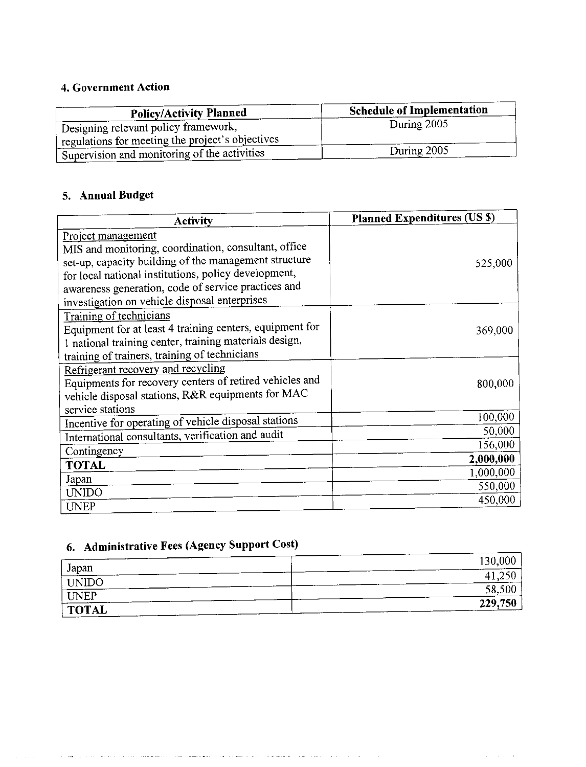# 4. Government Action

| <b>Policy/Activity Planned</b>                   | <b>Schedule of Implementation</b> |
|--------------------------------------------------|-----------------------------------|
| Designing relevant policy framework,             | During 2005                       |
| regulations for meeting the project's objectives |                                   |
| Supervision and monitoring of the activities     | During 2005                       |

# 5. Annual Budget

| <b>Activity</b>                                          | <b>Planned Expenditures (US \$)</b> |
|----------------------------------------------------------|-------------------------------------|
| Project management                                       |                                     |
| MIS and monitoring, coordination, consultant, office     |                                     |
| set-up, capacity building of the management structure    | 525,000                             |
| for local national institutions, policy development,     |                                     |
| awareness generation, code of service practices and      |                                     |
| investigation on vehicle disposal enterprises            |                                     |
| Training of technicians                                  |                                     |
| Equipment for at least 4 training centers, equipment for | 369,000                             |
| 1 national training center, training materials design,   |                                     |
| training of trainers, training of technicians            |                                     |
| Refrigerant recovery and recycling                       |                                     |
| Equipments for recovery centers of retired vehicles and  | 800,000                             |
| vehicle disposal stations, R&R equipments for MAC        |                                     |
| service stations                                         | 100,000                             |
| Incentive for operating of vehicle disposal stations     |                                     |
| International consultants, verification and audit        | 50,000                              |
| Contingency                                              | 156,000                             |
| <b>TOTAL</b>                                             | 2,000,000                           |
| Japan                                                    | 1,000,000                           |
| <b>UNIDO</b>                                             | 550,000                             |
| <b>UNEP</b>                                              | 450,000                             |

# 6. Administrative Fees (Agency Support Cost)

a provincia e un constituir e esta comunicación con comunicación e en alguna a catalana a manuel com catalana constituir a co

 $\omega_{\rm{max}}$ 

|                       | 130,000 |
|-----------------------|---------|
| Japan<br><b>UNIDO</b> | 41.250  |
| $\sqrt{\text{UNEP}}$  | 58,500  |
| TOTAL                 | 229,750 |

and some of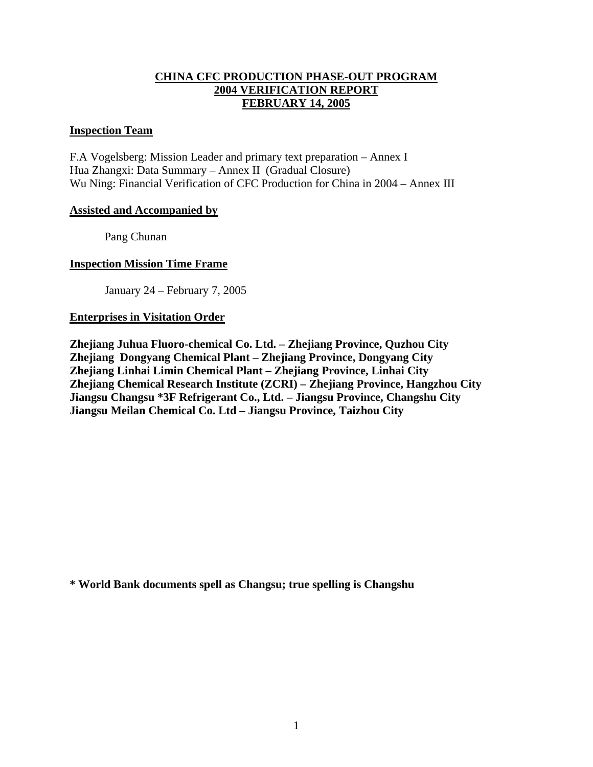# **CHINA CFC PRODUCTION PHASE-OUT PROGRAM 2004 VERIFICATION REPORT FEBRUARY 14, 2005**

#### **Inspection Team**

F.A Vogelsberg: Mission Leader and primary text preparation – Annex I Hua Zhangxi: Data Summary – Annex II (Gradual Closure) Wu Ning: Financial Verification of CFC Production for China in 2004 – Annex III

#### **Assisted and Accompanied by**

Pang Chunan

#### **Inspection Mission Time Frame**

January 24 – February 7, 2005

#### **Enterprises in Visitation Order**

**Zhejiang Juhua Fluoro-chemical Co. Ltd. – Zhejiang Province, Quzhou City Zhejiang Dongyang Chemical Plant – Zhejiang Province, Dongyang City Zhejiang Linhai Limin Chemical Plant – Zhejiang Province, Linhai City Zhejiang Chemical Research Institute (ZCRI) – Zhejiang Province, Hangzhou City Jiangsu Changsu \*3F Refrigerant Co., Ltd. – Jiangsu Province, Changshu City Jiangsu Meilan Chemical Co. Ltd – Jiangsu Province, Taizhou City** 

**\* World Bank documents spell as Changsu; true spelling is Changshu**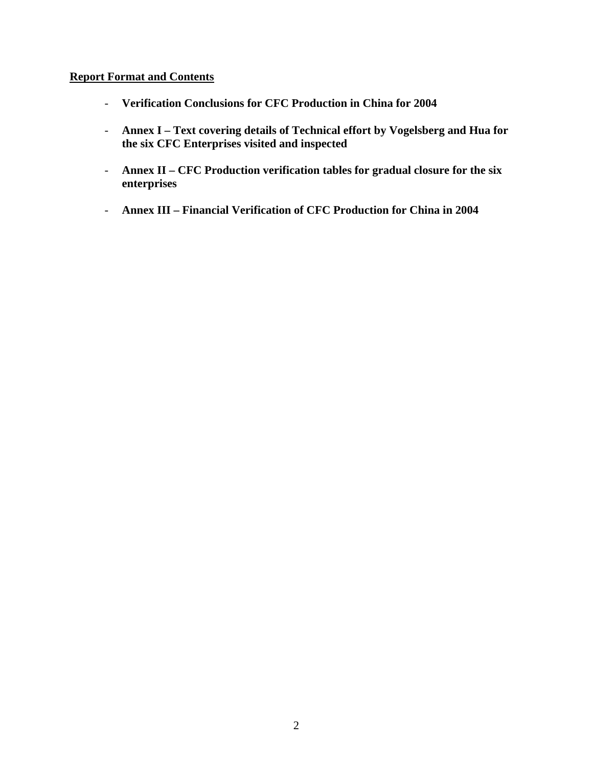# **Report Format and Contents**

- **Verification Conclusions for CFC Production in China for 2004**
- **Annex I Text covering details of Technical effort by Vogelsberg and Hua for the six CFC Enterprises visited and inspected**
- **Annex II CFC Production verification tables for gradual closure for the six enterprises**
- **Annex III Financial Verification of CFC Production for China in 2004**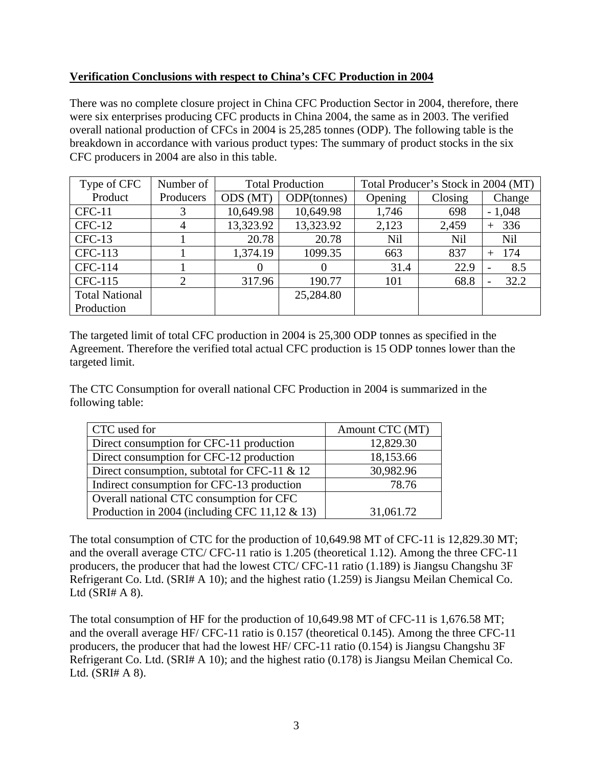# **Verification Conclusions with respect to China's CFC Production in 2004**

There was no complete closure project in China CFC Production Sector in 2004, therefore, there were six enterprises producing CFC products in China 2004, the same as in 2003. The verified overall national production of CFCs in 2004 is 25,285 tonnes (ODP). The following table is the breakdown in accordance with various product types: The summary of product stocks in the six CFC producers in 2004 are also in this table.

| Type of CFC           | Number of      | <b>Total Production</b> |             | Total Producer's Stock in 2004 (MT) |         |                                  |  |
|-----------------------|----------------|-------------------------|-------------|-------------------------------------|---------|----------------------------------|--|
| Product               | Producers      | ODS (MT)                | ODP(tonnes) | Opening                             | Closing | Change                           |  |
| $CFC-11$              |                | 10,649.98               | 10,649.98   | 1,746                               | 698     | $-1,048$                         |  |
| $CFC-12$              | 4              | 13,323.92               | 13,323.92   | 2,123                               | 2,459   | 336                              |  |
| $CFC-13$              |                | 20.78                   | 20.78       | Nil                                 | Nil     | <b>Nil</b>                       |  |
| CFC-113               |                | 1,374.19                | 1099.35     | 663                                 | 837     | 174<br>$^{+}$                    |  |
| CFC-114               |                | $\Omega$                |             | 31.4                                | 22.9    | 8.5<br>$\overline{\phantom{a}}$  |  |
| CFC-115               | $\overline{2}$ | 317.96                  | 190.77      | 101                                 | 68.8    | 32.2<br>$\overline{\phantom{a}}$ |  |
| <b>Total National</b> |                |                         | 25,284.80   |                                     |         |                                  |  |
| Production            |                |                         |             |                                     |         |                                  |  |

The targeted limit of total CFC production in 2004 is 25,300 ODP tonnes as specified in the Agreement. Therefore the verified total actual CFC production is 15 ODP tonnes lower than the targeted limit.

The CTC Consumption for overall national CFC Production in 2004 is summarized in the following table:

| CTC used for                                     | Amount CTC (MT) |
|--------------------------------------------------|-----------------|
| Direct consumption for CFC-11 production         | 12,829.30       |
| Direct consumption for CFC-12 production         | 18,153.66       |
| Direct consumption, subtotal for CFC-11 $& 12$   | 30,982.96       |
| Indirect consumption for CFC-13 production       | 78.76           |
| Overall national CTC consumption for CFC         |                 |
| Production in 2004 (including CFC 11,12 $\&$ 13) | 31,061.72       |

The total consumption of CTC for the production of 10,649.98 MT of CFC-11 is 12,829.30 MT; and the overall average CTC/ CFC-11 ratio is 1.205 (theoretical 1.12). Among the three CFC-11 producers, the producer that had the lowest CTC/ CFC-11 ratio (1.189) is Jiangsu Changshu 3F Refrigerant Co. Ltd. (SRI# A 10); and the highest ratio (1.259) is Jiangsu Meilan Chemical Co. Ltd  $(SRI# A 8)$ .

The total consumption of HF for the production of 10,649.98 MT of CFC-11 is 1,676.58 MT; and the overall average HF/ CFC-11 ratio is 0.157 (theoretical 0.145). Among the three CFC-11 producers, the producer that had the lowest HF/ CFC-11 ratio (0.154) is Jiangsu Changshu 3F Refrigerant Co. Ltd. (SRI# A 10); and the highest ratio (0.178) is Jiangsu Meilan Chemical Co. Ltd. (SRI# A 8).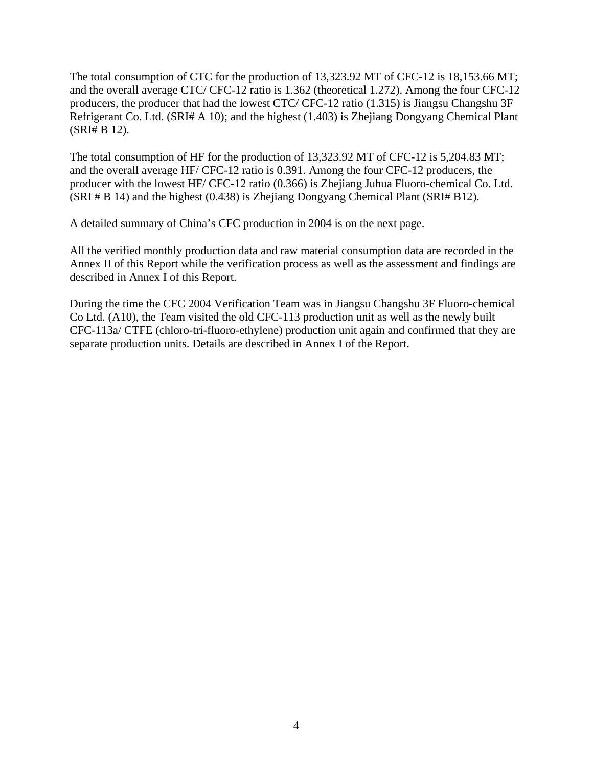The total consumption of CTC for the production of 13,323.92 MT of CFC-12 is 18,153.66 MT; and the overall average CTC/ CFC-12 ratio is 1.362 (theoretical 1.272). Among the four CFC-12 producers, the producer that had the lowest CTC/ CFC-12 ratio (1.315) is Jiangsu Changshu 3F Refrigerant Co. Ltd. (SRI# A 10); and the highest (1.403) is Zhejiang Dongyang Chemical Plant (SRI# B 12).

The total consumption of HF for the production of 13,323.92 MT of CFC-12 is 5,204.83 MT; and the overall average HF/ CFC-12 ratio is 0.391. Among the four CFC-12 producers, the producer with the lowest HF/ CFC-12 ratio (0.366) is Zhejiang Juhua Fluoro-chemical Co. Ltd. (SRI # B 14) and the highest (0.438) is Zhejiang Dongyang Chemical Plant (SRI# B12).

A detailed summary of China's CFC production in 2004 is on the next page.

All the verified monthly production data and raw material consumption data are recorded in the Annex II of this Report while the verification process as well as the assessment and findings are described in Annex I of this Report.

During the time the CFC 2004 Verification Team was in Jiangsu Changshu 3F Fluoro-chemical Co Ltd. (A10), the Team visited the old CFC-113 production unit as well as the newly built CFC-113a/ CTFE (chloro-tri-fluoro-ethylene) production unit again and confirmed that they are separate production units. Details are described in Annex I of the Report.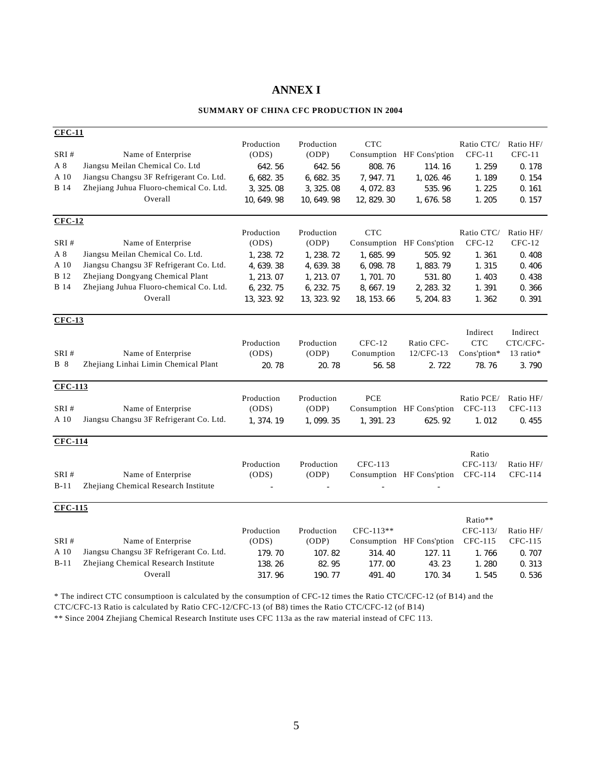## **ANNEX I**

#### **SUMMARY OF CHINA CFC PRODUCTION IN 2004**

| $CFC-11$       |                                         |             |             |             |                           |             |           |
|----------------|-----------------------------------------|-------------|-------------|-------------|---------------------------|-------------|-----------|
|                |                                         | Production  | Production  | <b>CTC</b>  |                           | Ratio CTC/  | Ratio HF/ |
| SRI#           | Name of Enterprise                      | (ODS)       | (ODP)       | Consumption | HF Cons'ption             | $CFC-11$    | $CFC-11$  |
| A 8            | Jiangsu Meilan Chemical Co. Ltd         | 642.56      | 642.56      | 808.76      | 114.16                    | 1.259       | 0.178     |
| A 10           | Jiangsu Changsu 3F Refrigerant Co. Ltd. | 6, 682. 35  | 6, 682. 35  | 7, 947. 71  | 1,026.46                  | 1.189       | 0.154     |
| <b>B</b> 14    | Zhejiang Juhua Fluoro-chemical Co. Ltd. | 3, 325.08   | 3, 325.08   | 4,072.83    | 535.96                    | 1.225       | 0.161     |
|                | Overall                                 | 10, 649. 98 | 10, 649. 98 | 12, 829. 30 | 1, 676. 58                | 1.205       | 0.157     |
|                |                                         |             |             |             |                           |             |           |
| $CFC-12$       |                                         |             |             |             |                           |             |           |
|                |                                         | Production  | Production  | CTC         |                           | Ratio CTC/  | Ratio HF/ |
| SRI#           | Name of Enterprise                      | (ODS)       | (ODP)       | Consumption | HF Cons'ption             | $CFC-12$    | $CFC-12$  |
| A 8            | Jiangsu Meilan Chemical Co. Ltd.        | 1, 238. 72  | 1, 238. 72  | 1,685.99    | 505.92                    | 1.361       | 0.408     |
| A 10           | Jiangsu Changsu 3F Refrigerant Co. Ltd. | 4, 639. 38  | 4, 639. 38  | 6, 098. 78  | 1,883.79                  | 1.315       | 0.406     |
| <b>B</b> 12    | Zhejiang Dongyang Chemical Plant        | 1, 213.07   | 1, 213.07   | 1,701.70    | 531.80                    | 1.403       | 0.438     |
| <b>B</b> 14    | Zhejiang Juhua Fluoro-chemical Co. Ltd. | 6, 232. 75  | 6, 232. 75  | 8, 667. 19  | 2, 283. 32                | 1.391       | 0.366     |
|                | Overall                                 | 13, 323. 92 | 13, 323. 92 | 18, 153. 66 | 5, 204. 83                | 1.362       | 0.391     |
| $CFC-13$       |                                         |             |             |             |                           |             |           |
|                |                                         |             |             |             |                           | Indirect    | Indirect  |
|                |                                         | Production  | Production  | $CFC-12$    | Ratio CFC-                | <b>CTC</b>  | CTC/CFC-  |
| SRI#           | Name of Enterprise                      | (ODS)       | (ODP)       | Conumption  | 12/CFC-13                 | Cons'ption* | 13 ratio* |
| <b>B</b> 8     | Zhejiang Linhai Limin Chemical Plant    | 20.78       | 20.78       | 56.58       | 2.722                     | 78.76       | 3.790     |
| <b>CFC-113</b> |                                         |             |             |             |                           |             |           |
|                |                                         | Production  | Production  | PCE         |                           | Ratio PCE/  | Ratio HF/ |
| SRI#           | Name of Enterprise                      | (ODS)       | (ODP)       | Consumption | HF Cons'ption             | CFC-113     | CFC-113   |
| A 10           | Jiangsu Changsu 3F Refrigerant Co. Ltd. | 1, 374. 19  | 1,099.35    | 1,391.23    | 625.92                    | 1.012       | 0.455     |
| <b>CFC-114</b> |                                         |             |             |             |                           |             |           |
|                |                                         |             |             |             |                           | Ratio       |           |
|                |                                         | Production  | Production  | CFC-113     |                           | CFC-113/    | Ratio HF/ |
| SRI#           | Name of Enterprise                      | (ODS)       | (ODP)       |             | Consumption HF Cons'ption | CFC-114     | CFC-114   |
| $B-11$         | Zhejiang Chemical Research Institute    |             |             |             |                           |             |           |
| <b>CFC-115</b> |                                         |             |             |             |                           |             |           |
|                |                                         |             |             |             |                           | Ratio**     |           |
|                |                                         | Production  | Production  | CFC-113**   |                           | CFC-113/    | Ratio HF/ |
| SRI#           | Name of Enterprise                      | (ODS)       | (ODP)       | Consumption | HF Cons'ption             | CFC-115     | CFC-115   |
| A 10           | Jiangsu Changsu 3F Refrigerant Co. Ltd. | 179.70      | 107.82      | 314.40      | 127.11                    | 1.766       | 0.707     |
| $B-11$         | Zhejiang Chemical Research Institute    | 138.26      | 82.95       | 177.00      | 43.23                     | 1.280       | 0.313     |
|                | Overall                                 | 317.96      | 190.77      | 491.40      | 170.34                    | 1.545       | 0.536     |

\* The indirect CTC consumptioon is calculated by the consumption of CFC-12 times the Ratio CTC/CFC-12 (of B14) and the

CTC/CFC-13 Ratio is calculated by Ratio CFC-12/CFC-13 (of B8) times the Ratio CTC/CFC-12 (of B14)

\*\* Since 2004 Zhejiang Chemical Research Institute uses CFC 113a as the raw material instead of CFC 113.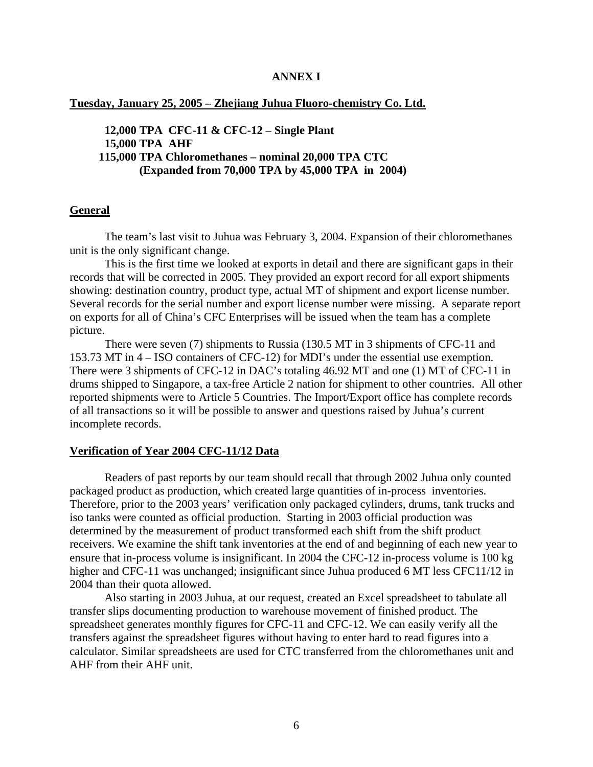#### **ANNEX I**

**Tuesday, January 25, 2005 – Zhejiang Juhua Fluoro-chemistry Co. Ltd.**

 **12,000 TPA CFC-11 & CFC-12 – Single Plant 15,000 TPA AHF 115,000 TPA Chloromethanes – nominal 20,000 TPA CTC (Expanded from 70,000 TPA by 45,000 TPA in 2004)** 

#### **General**

 The team's last visit to Juhua was February 3, 2004. Expansion of their chloromethanes unit is the only significant change.

 This is the first time we looked at exports in detail and there are significant gaps in their records that will be corrected in 2005. They provided an export record for all export shipments showing: destination country, product type, actual MT of shipment and export license number. Several records for the serial number and export license number were missing. A separate report on exports for all of China's CFC Enterprises will be issued when the team has a complete picture.

 There were seven (7) shipments to Russia (130.5 MT in 3 shipments of CFC-11 and 153.73 MT in 4 – ISO containers of CFC-12) for MDI's under the essential use exemption. There were 3 shipments of CFC-12 in DAC's totaling 46.92 MT and one (1) MT of CFC-11 in drums shipped to Singapore, a tax-free Article 2 nation for shipment to other countries. All other reported shipments were to Article 5 Countries. The Import/Export office has complete records of all transactions so it will be possible to answer and questions raised by Juhua's current incomplete records.

#### **Verification of Year 2004 CFC-11/12 Data**

 Readers of past reports by our team should recall that through 2002 Juhua only counted packaged product as production, which created large quantities of in-process inventories. Therefore, prior to the 2003 years' verification only packaged cylinders, drums, tank trucks and iso tanks were counted as official production. Starting in 2003 official production was determined by the measurement of product transformed each shift from the shift product receivers. We examine the shift tank inventories at the end of and beginning of each new year to ensure that in-process volume is insignificant. In 2004 the CFC-12 in-process volume is 100 kg higher and CFC-11 was unchanged; insignificant since Juhua produced 6 MT less CFC11/12 in 2004 than their quota allowed.

 Also starting in 2003 Juhua, at our request, created an Excel spreadsheet to tabulate all transfer slips documenting production to warehouse movement of finished product. The spreadsheet generates monthly figures for CFC-11 and CFC-12. We can easily verify all the transfers against the spreadsheet figures without having to enter hard to read figures into a calculator. Similar spreadsheets are used for CTC transferred from the chloromethanes unit and AHF from their AHF unit.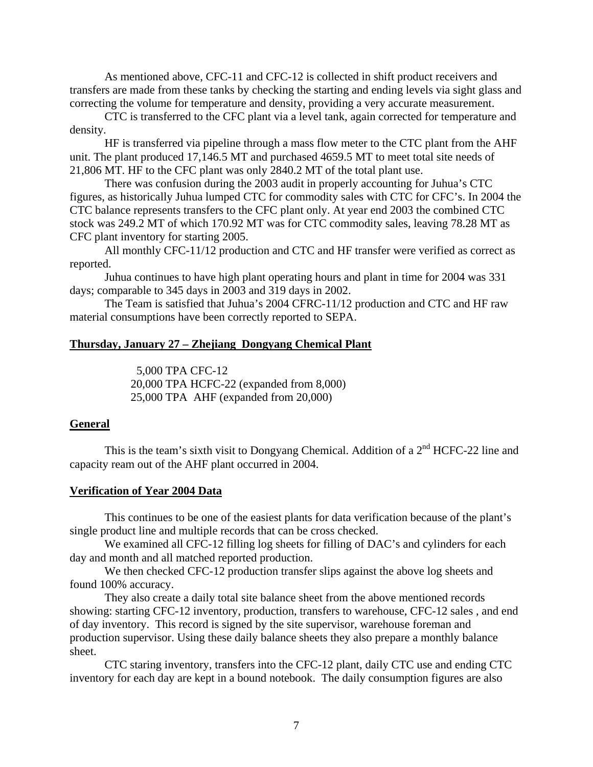As mentioned above, CFC-11 and CFC-12 is collected in shift product receivers and transfers are made from these tanks by checking the starting and ending levels via sight glass and correcting the volume for temperature and density, providing a very accurate measurement.

CTC is transferred to the CFC plant via a level tank, again corrected for temperature and density.

HF is transferred via pipeline through a mass flow meter to the CTC plant from the AHF unit. The plant produced 17,146.5 MT and purchased 4659.5 MT to meet total site needs of 21,806 MT. HF to the CFC plant was only 2840.2 MT of the total plant use.

There was confusion during the 2003 audit in properly accounting for Juhua's CTC figures, as historically Juhua lumped CTC for commodity sales with CTC for CFC's. In 2004 the CTC balance represents transfers to the CFC plant only. At year end 2003 the combined CTC stock was 249.2 MT of which 170.92 MT was for CTC commodity sales, leaving 78.28 MT as CFC plant inventory for starting 2005.

All monthly CFC-11/12 production and CTC and HF transfer were verified as correct as reported.

 Juhua continues to have high plant operating hours and plant in time for 2004 was 331 days; comparable to 345 days in 2003 and 319 days in 2002.

 The Team is satisfied that Juhua's 2004 CFRC-11/12 production and CTC and HF raw material consumptions have been correctly reported to SEPA.

#### **Thursday, January 27 – Zhejiang Dongyang Chemical Plant**

 5,000 TPA CFC-12 20,000 TPA HCFC-22 (expanded from 8,000) 25,000 TPA AHF (expanded from 20,000)

#### **General**

This is the team's sixth visit to Dongyang Chemical. Addition of a 2<sup>nd</sup> HCFC-22 line and capacity ream out of the AHF plant occurred in 2004.

#### **Verification of Year 2004 Data**

 This continues to be one of the easiest plants for data verification because of the plant's single product line and multiple records that can be cross checked.

 We examined all CFC-12 filling log sheets for filling of DAC's and cylinders for each day and month and all matched reported production.

We then checked CFC-12 production transfer slips against the above log sheets and found 100% accuracy.

 They also create a daily total site balance sheet from the above mentioned records showing: starting CFC-12 inventory, production, transfers to warehouse, CFC-12 sales , and end of day inventory. This record is signed by the site supervisor, warehouse foreman and production supervisor. Using these daily balance sheets they also prepare a monthly balance sheet.

 CTC staring inventory, transfers into the CFC-12 plant, daily CTC use and ending CTC inventory for each day are kept in a bound notebook. The daily consumption figures are also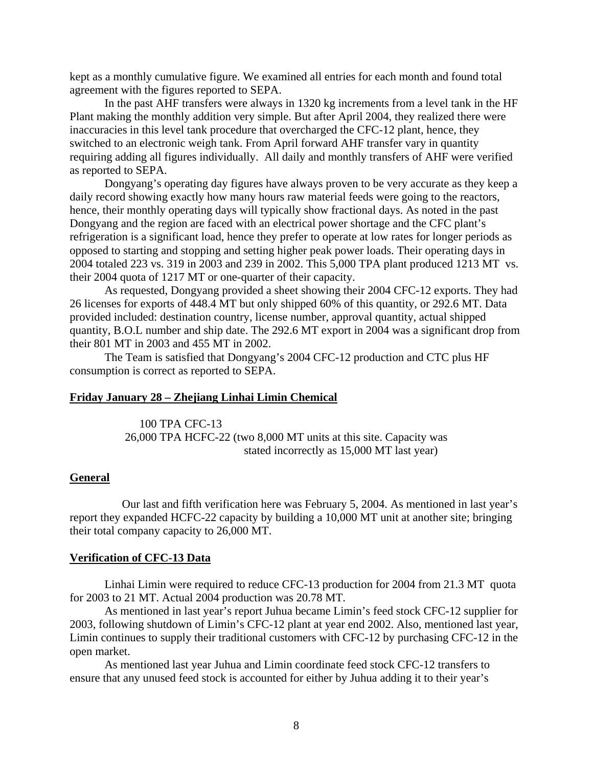kept as a monthly cumulative figure. We examined all entries for each month and found total agreement with the figures reported to SEPA.

 In the past AHF transfers were always in 1320 kg increments from a level tank in the HF Plant making the monthly addition very simple. But after April 2004, they realized there were inaccuracies in this level tank procedure that overcharged the CFC-12 plant, hence, they switched to an electronic weigh tank. From April forward AHF transfer vary in quantity requiring adding all figures individually. All daily and monthly transfers of AHF were verified as reported to SEPA.

 Dongyang's operating day figures have always proven to be very accurate as they keep a daily record showing exactly how many hours raw material feeds were going to the reactors, hence, their monthly operating days will typically show fractional days. As noted in the past Dongyang and the region are faced with an electrical power shortage and the CFC plant's refrigeration is a significant load, hence they prefer to operate at low rates for longer periods as opposed to starting and stopping and setting higher peak power loads. Their operating days in 2004 totaled 223 vs. 319 in 2003 and 239 in 2002. This 5,000 TPA plant produced 1213 MT vs. their 2004 quota of 1217 MT or one-quarter of their capacity.

 As requested, Dongyang provided a sheet showing their 2004 CFC-12 exports. They had 26 licenses for exports of 448.4 MT but only shipped 60% of this quantity, or 292.6 MT. Data provided included: destination country, license number, approval quantity, actual shipped quantity, B.O.L number and ship date. The 292.6 MT export in 2004 was a significant drop from their 801 MT in 2003 and 455 MT in 2002.

 The Team is satisfied that Dongyang's 2004 CFC-12 production and CTC plus HF consumption is correct as reported to SEPA.

#### **Friday January 28 – Zhejiang Linhai Limin Chemical**

 100 TPA CFC-13 26,000 TPA HCFC-22 (two 8,000 MT units at this site. Capacity was stated incorrectly as 15,000 MT last year)

#### **General**

 Our last and fifth verification here was February 5, 2004. As mentioned in last year's report they expanded HCFC-22 capacity by building a 10,000 MT unit at another site; bringing their total company capacity to 26,000 MT.

#### **Verification of CFC-13 Data**

 Linhai Limin were required to reduce CFC-13 production for 2004 from 21.3 MT quota for 2003 to 21 MT. Actual 2004 production was 20.78 MT.

 As mentioned in last year's report Juhua became Limin's feed stock CFC-12 supplier for 2003, following shutdown of Limin's CFC-12 plant at year end 2002. Also, mentioned last year, Limin continues to supply their traditional customers with CFC-12 by purchasing CFC-12 in the open market.

 As mentioned last year Juhua and Limin coordinate feed stock CFC-12 transfers to ensure that any unused feed stock is accounted for either by Juhua adding it to their year's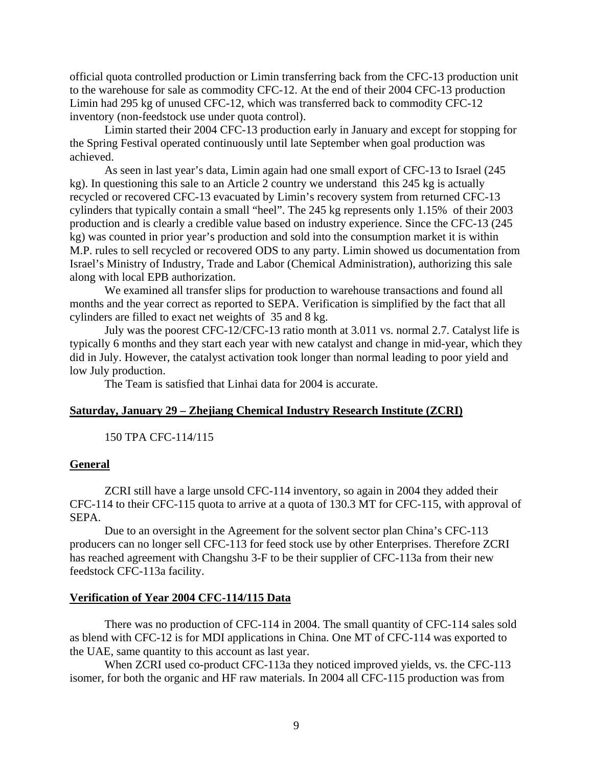official quota controlled production or Limin transferring back from the CFC-13 production unit to the warehouse for sale as commodity CFC-12. At the end of their 2004 CFC-13 production Limin had 295 kg of unused CFC-12, which was transferred back to commodity CFC-12 inventory (non-feedstock use under quota control).

 Limin started their 2004 CFC-13 production early in January and except for stopping for the Spring Festival operated continuously until late September when goal production was achieved.

 As seen in last year's data, Limin again had one small export of CFC-13 to Israel (245 kg). In questioning this sale to an Article 2 country we understand this 245 kg is actually recycled or recovered CFC-13 evacuated by Limin's recovery system from returned CFC-13 cylinders that typically contain a small "heel". The 245 kg represents only 1.15% of their 2003 production and is clearly a credible value based on industry experience. Since the CFC-13 (245 kg) was counted in prior year's production and sold into the consumption market it is within M.P. rules to sell recycled or recovered ODS to any party. Limin showed us documentation from Israel's Ministry of Industry, Trade and Labor (Chemical Administration), authorizing this sale along with local EPB authorization.

 We examined all transfer slips for production to warehouse transactions and found all months and the year correct as reported to SEPA. Verification is simplified by the fact that all cylinders are filled to exact net weights of 35 and 8 kg.

 July was the poorest CFC-12/CFC-13 ratio month at 3.011 vs. normal 2.7. Catalyst life is typically 6 months and they start each year with new catalyst and change in mid-year, which they did in July. However, the catalyst activation took longer than normal leading to poor yield and low July production.

The Team is satisfied that Linhai data for 2004 is accurate.

#### **Saturday, January 29 – Zhejiang Chemical Industry Research Institute (ZCRI)**

150 TPA CFC-114/115

#### **General**

 ZCRI still have a large unsold CFC-114 inventory, so again in 2004 they added their CFC-114 to their CFC-115 quota to arrive at a quota of 130.3 MT for CFC-115, with approval of SEPA.

 Due to an oversight in the Agreement for the solvent sector plan China's CFC-113 producers can no longer sell CFC-113 for feed stock use by other Enterprises. Therefore ZCRI has reached agreement with Changshu 3-F to be their supplier of CFC-113a from their new feedstock CFC-113a facility.

#### **Verification of Year 2004 CFC-114/115 Data**

There was no production of CFC-114 in 2004. The small quantity of CFC-114 sales sold as blend with CFC-12 is for MDI applications in China. One MT of CFC-114 was exported to the UAE, same quantity to this account as last year.

When ZCRI used co-product CFC-113a they noticed improved yields, vs. the CFC-113 isomer, for both the organic and HF raw materials. In 2004 all CFC-115 production was from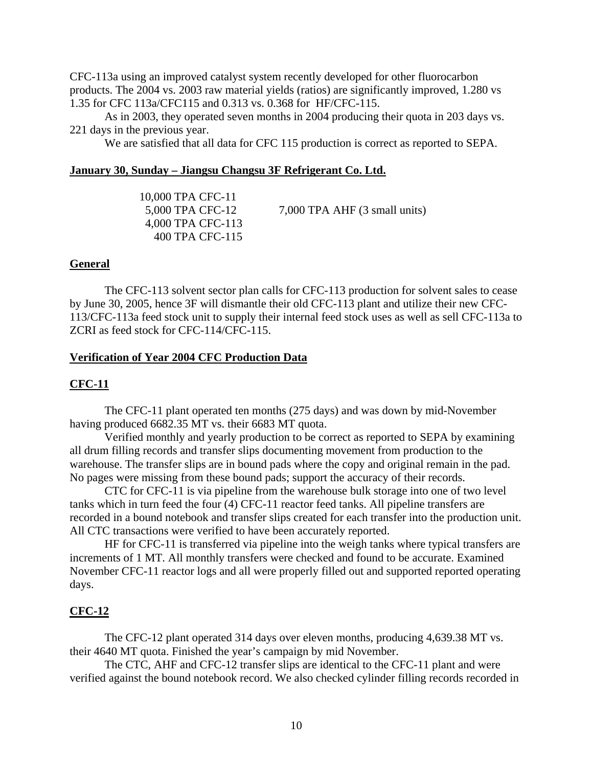CFC-113a using an improved catalyst system recently developed for other fluorocarbon products. The 2004 vs. 2003 raw material yields (ratios) are significantly improved, 1.280 vs 1.35 for CFC 113a/CFC115 and 0.313 vs. 0.368 for HF/CFC-115.

As in 2003, they operated seven months in 2004 producing their quota in 203 days vs. 221 days in the previous year.

We are satisfied that all data for CFC 115 production is correct as reported to SEPA.

#### **January 30, Sunday – Jiangsu Changsu 3F Refrigerant Co. Ltd.**

 10,000 TPA CFC-11 5,000 TPA CFC-12 7,000 TPA AHF (3 small units) 4,000 TPA CFC-113 400 TPA CFC-115

#### **General**

The CFC-113 solvent sector plan calls for CFC-113 production for solvent sales to cease by June 30, 2005, hence 3F will dismantle their old CFC-113 plant and utilize their new CFC-113/CFC-113a feed stock unit to supply their internal feed stock uses as well as sell CFC-113a to ZCRI as feed stock for CFC-114/CFC-115.

#### **Verification of Year 2004 CFC Production Data**

#### **CFC-11**

 The CFC-11 plant operated ten months (275 days) and was down by mid-November having produced 6682.35 MT vs. their 6683 MT quota.

 Verified monthly and yearly production to be correct as reported to SEPA by examining all drum filling records and transfer slips documenting movement from production to the warehouse. The transfer slips are in bound pads where the copy and original remain in the pad. No pages were missing from these bound pads; support the accuracy of their records.

 CTC for CFC-11 is via pipeline from the warehouse bulk storage into one of two level tanks which in turn feed the four (4) CFC-11 reactor feed tanks. All pipeline transfers are recorded in a bound notebook and transfer slips created for each transfer into the production unit. All CTC transactions were verified to have been accurately reported.

 HF for CFC-11 is transferred via pipeline into the weigh tanks where typical transfers are increments of 1 MT. All monthly transfers were checked and found to be accurate. Examined November CFC-11 reactor logs and all were properly filled out and supported reported operating days.

#### **CFC-12**

 The CFC-12 plant operated 314 days over eleven months, producing 4,639.38 MT vs. their 4640 MT quota. Finished the year's campaign by mid November.

 The CTC, AHF and CFC-12 transfer slips are identical to the CFC-11 plant and were verified against the bound notebook record. We also checked cylinder filling records recorded in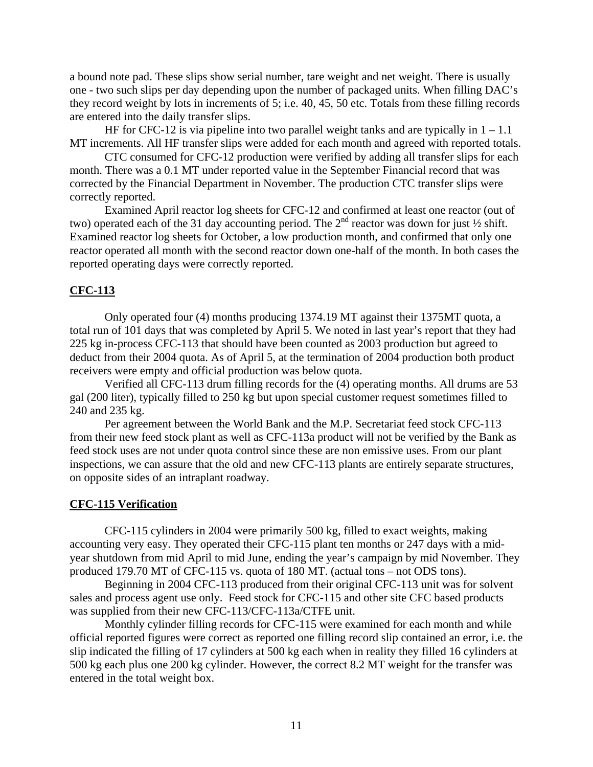a bound note pad. These slips show serial number, tare weight and net weight. There is usually one - two such slips per day depending upon the number of packaged units. When filling DAC's they record weight by lots in increments of 5; i.e. 40, 45, 50 etc. Totals from these filling records are entered into the daily transfer slips.

HF for CFC-12 is via pipeline into two parallel weight tanks and are typically in  $1 - 1.1$ MT increments. All HF transfer slips were added for each month and agreed with reported totals.

 CTC consumed for CFC-12 production were verified by adding all transfer slips for each month. There was a 0.1 MT under reported value in the September Financial record that was corrected by the Financial Department in November. The production CTC transfer slips were correctly reported.

 Examined April reactor log sheets for CFC-12 and confirmed at least one reactor (out of two) operated each of the 31 day accounting period. The  $2<sup>nd</sup>$  reactor was down for just  $\frac{1}{2}$  shift. Examined reactor log sheets for October, a low production month, and confirmed that only one reactor operated all month with the second reactor down one-half of the month. In both cases the reported operating days were correctly reported.

#### **CFC-113**

 Only operated four (4) months producing 1374.19 MT against their 1375MT quota, a total run of 101 days that was completed by April 5. We noted in last year's report that they had 225 kg in-process CFC-113 that should have been counted as 2003 production but agreed to deduct from their 2004 quota. As of April 5, at the termination of 2004 production both product receivers were empty and official production was below quota.

 Verified all CFC-113 drum filling records for the (4) operating months. All drums are 53 gal (200 liter), typically filled to 250 kg but upon special customer request sometimes filled to 240 and 235 kg.

 Per agreement between the World Bank and the M.P. Secretariat feed stock CFC-113 from their new feed stock plant as well as CFC-113a product will not be verified by the Bank as feed stock uses are not under quota control since these are non emissive uses. From our plant inspections, we can assure that the old and new CFC-113 plants are entirely separate structures, on opposite sides of an intraplant roadway.

#### **CFC-115 Verification**

 CFC-115 cylinders in 2004 were primarily 500 kg, filled to exact weights, making accounting very easy. They operated their CFC-115 plant ten months or 247 days with a midyear shutdown from mid April to mid June, ending the year's campaign by mid November. They produced 179.70 MT of CFC-115 vs. quota of 180 MT. (actual tons – not ODS tons).

 Beginning in 2004 CFC-113 produced from their original CFC-113 unit was for solvent sales and process agent use only. Feed stock for CFC-115 and other site CFC based products was supplied from their new CFC-113/CFC-113a/CTFE unit.

 Monthly cylinder filling records for CFC-115 were examined for each month and while official reported figures were correct as reported one filling record slip contained an error, i.e. the slip indicated the filling of 17 cylinders at 500 kg each when in reality they filled 16 cylinders at 500 kg each plus one 200 kg cylinder. However, the correct 8.2 MT weight for the transfer was entered in the total weight box.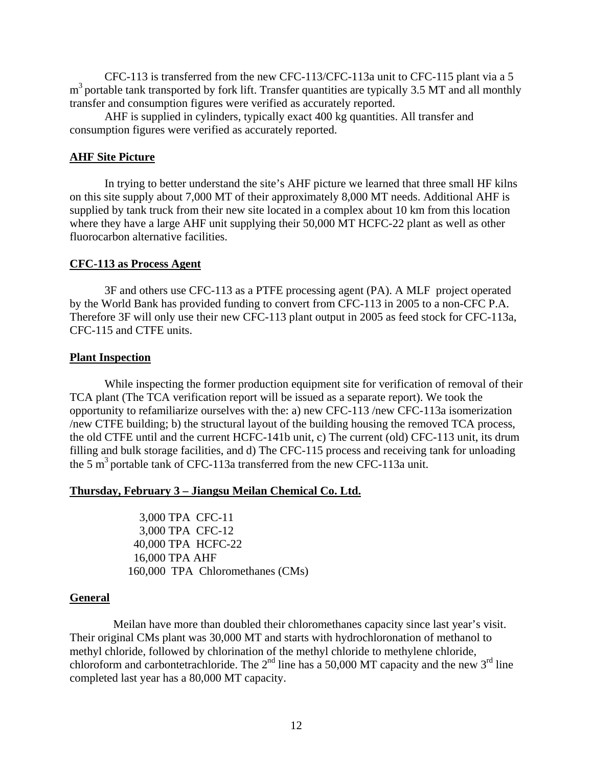CFC-113 is transferred from the new CFC-113/CFC-113a unit to CFC-115 plant via a 5  $m<sup>3</sup>$  portable tank transported by fork lift. Transfer quantities are typically 3.5 MT and all monthly transfer and consumption figures were verified as accurately reported.

 AHF is supplied in cylinders, typically exact 400 kg quantities. All transfer and consumption figures were verified as accurately reported.

#### **AHF Site Picture**

 In trying to better understand the site's AHF picture we learned that three small HF kilns on this site supply about 7,000 MT of their approximately 8,000 MT needs. Additional AHF is supplied by tank truck from their new site located in a complex about 10 km from this location where they have a large AHF unit supplying their 50,000 MT HCFC-22 plant as well as other fluorocarbon alternative facilities.

#### **CFC-113 as Process Agent**

 3F and others use CFC-113 as a PTFE processing agent (PA). A MLF project operated by the World Bank has provided funding to convert from CFC-113 in 2005 to a non-CFC P.A. Therefore 3F will only use their new CFC-113 plant output in 2005 as feed stock for CFC-113a, CFC-115 and CTFE units.

#### **Plant Inspection**

 While inspecting the former production equipment site for verification of removal of their TCA plant (The TCA verification report will be issued as a separate report). We took the opportunity to refamiliarize ourselves with the: a) new CFC-113 /new CFC-113a isomerization /new CTFE building; b) the structural layout of the building housing the removed TCA process, the old CTFE until and the current HCFC-141b unit, c) The current (old) CFC-113 unit, its drum filling and bulk storage facilities, and d) The CFC-115 process and receiving tank for unloading the 5  $\text{m}^3$  portable tank of CFC-113a transferred from the new CFC-113a unit.

#### **Thursday, February 3 – Jiangsu Meilan Chemical Co. Ltd.**

 3,000 TPA CFC-11 3,000 TPA CFC-12 40,000 TPA HCFC-22 16,000 TPA AHF 160,000 TPA Chloromethanes (CMs)

#### **General**

 Meilan have more than doubled their chloromethanes capacity since last year's visit. Their original CMs plant was 30,000 MT and starts with hydrochloronation of methanol to methyl chloride, followed by chlorination of the methyl chloride to methylene chloride, chloroform and carbontetrachloride. The  $2<sup>nd</sup>$  line has a 50,000 MT capacity and the new  $3<sup>rd</sup>$  line completed last year has a 80,000 MT capacity.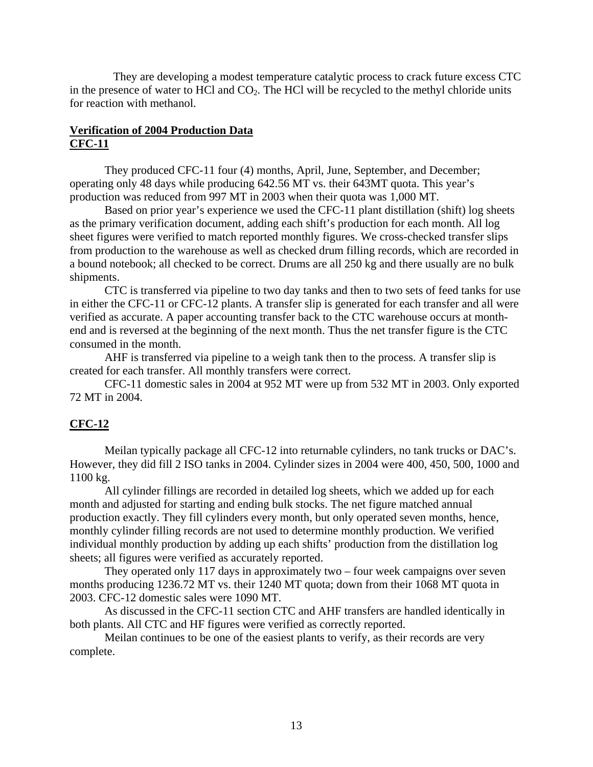They are developing a modest temperature catalytic process to crack future excess CTC in the presence of water to HCl and  $CO<sub>2</sub>$ . The HCl will be recycled to the methyl chloride units for reaction with methanol.

# **Verification of 2004 Production Data CFC-11**

 They produced CFC-11 four (4) months, April, June, September, and December; operating only 48 days while producing 642.56 MT vs. their 643MT quota. This year's production was reduced from 997 MT in 2003 when their quota was 1,000 MT.

 Based on prior year's experience we used the CFC-11 plant distillation (shift) log sheets as the primary verification document, adding each shift's production for each month. All log sheet figures were verified to match reported monthly figures. We cross-checked transfer slips from production to the warehouse as well as checked drum filling records, which are recorded in a bound notebook; all checked to be correct. Drums are all 250 kg and there usually are no bulk shipments.

 CTC is transferred via pipeline to two day tanks and then to two sets of feed tanks for use in either the CFC-11 or CFC-12 plants. A transfer slip is generated for each transfer and all were verified as accurate. A paper accounting transfer back to the CTC warehouse occurs at monthend and is reversed at the beginning of the next month. Thus the net transfer figure is the CTC consumed in the month.

 AHF is transferred via pipeline to a weigh tank then to the process. A transfer slip is created for each transfer. All monthly transfers were correct.

 CFC-11 domestic sales in 2004 at 952 MT were up from 532 MT in 2003. Only exported 72 MT in 2004.

# **CFC-12**

 Meilan typically package all CFC-12 into returnable cylinders, no tank trucks or DAC's. However, they did fill 2 ISO tanks in 2004. Cylinder sizes in 2004 were 400, 450, 500, 1000 and 1100 kg.

 All cylinder fillings are recorded in detailed log sheets, which we added up for each month and adjusted for starting and ending bulk stocks. The net figure matched annual production exactly. They fill cylinders every month, but only operated seven months, hence, monthly cylinder filling records are not used to determine monthly production. We verified individual monthly production by adding up each shifts' production from the distillation log sheets; all figures were verified as accurately reported.

 They operated only 117 days in approximately two – four week campaigns over seven months producing 1236.72 MT vs. their 1240 MT quota; down from their 1068 MT quota in 2003. CFC-12 domestic sales were 1090 MT.

 As discussed in the CFC-11 section CTC and AHF transfers are handled identically in both plants. All CTC and HF figures were verified as correctly reported.

 Meilan continues to be one of the easiest plants to verify, as their records are very complete.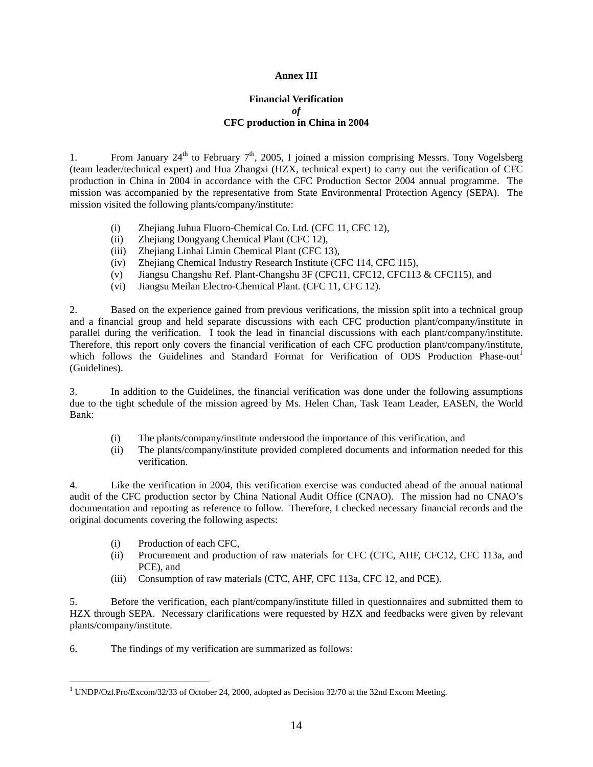#### **Annex III**

#### **Financial Verification**  *of* **CFC production in China in 2004**

1. From January  $24^{\text{th}}$  to February  $7^{\text{th}}$ , 2005, I joined a mission comprising Messrs. Tony Vogelsberg (team leader/technical expert) and Hua Zhangxi (HZX, technical expert) to carry out the verification of CFC production in China in 2004 in accordance with the CFC Production Sector 2004 annual programme. The mission was accompanied by the representative from State Environmental Protection Agency (SEPA). The mission visited the following plants/company/institute:

- (i) Zhejiang Juhua Fluoro-Chemical Co. Ltd. (CFC 11, CFC 12),
- (ii) Zhejiang Dongyang Chemical Plant (CFC 12),
- (iii) Zhejiang Linhai Limin Chemical Plant (CFC 13),
- (iv) Zhejiang Chemical Industry Research Institute (CFC 114, CFC 115),
- (v) Jiangsu Changshu Ref. Plant-Changshu 3F (CFC11, CFC12, CFC113 & CFC115), and
- (vi) Jiangsu Meilan Electro-Chemical Plant. (CFC 11, CFC 12).

2. Based on the experience gained from previous verifications, the mission split into a technical group and a financial group and held separate discussions with each CFC production plant/company/institute in parallel during the verification. I took the lead in financial discussions with each plant/company/institute. Therefore, this report only covers the financial verification of each CFC production plant/company/institute, which follows the Guidelines and Standard Format for Verification of ODS Production Phase-out (Guidelines).

3. In addition to the Guidelines, the financial verification was done under the following assumptions due to the tight schedule of the mission agreed by Ms. Helen Chan, Task Team Leader, EASEN, the World Bank:

- (i) The plants/company/institute understood the importance of this verification, and
- (ii) The plants/company/institute provided completed documents and information needed for this verification.

4. Like the verification in 2004, this verification exercise was conducted ahead of the annual national audit of the CFC production sector by China National Audit Office (CNAO). The mission had no CNAO's documentation and reporting as reference to follow. Therefore, I checked necessary financial records and the original documents covering the following aspects:

- (i) Production of each CFC,
- (ii) Procurement and production of raw materials for CFC (CTC, AHF, CFC12, CFC 113a, and PCE), and
- (iii) Consumption of raw materials (CTC, AHF, CFC 113a, CFC 12, and PCE).

5. Before the verification, each plant/company/institute filled in questionnaires and submitted them to HZX through SEPA. Necessary clarifications were requested by HZX and feedbacks were given by relevant plants/company/institute.

6. The findings of my verification are summarized as follows:

 $\overline{a}$ <sup>1</sup> UNDP/Ozl.Pro/Excom/32/33 of October 24, 2000, adopted as Decision 32/70 at the 32nd Excom Meeting.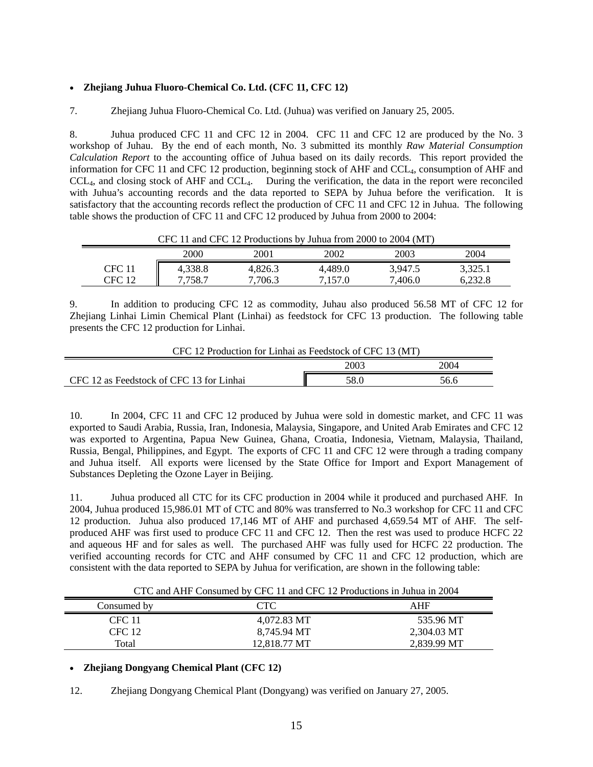#### • **Zhejiang Juhua Fluoro-Chemical Co. Ltd. (CFC 11, CFC 12)**

7. Zhejiang Juhua Fluoro-Chemical Co. Ltd. (Juhua) was verified on January 25, 2005.

8. Juhua produced CFC 11 and CFC 12 in 2004. CFC 11 and CFC 12 are produced by the No. 3 workshop of Juhau. By the end of each month, No. 3 submitted its monthly *Raw Material Consumption Calculation Report* to the accounting office of Juhua based on its daily records. This report provided the information for CFC 11 and CFC 12 production, beginning stock of AHF and CCL4, consumption of AHF and CCL4, and closing stock of AHF and CCL4. During the verification, the data in the report were reconciled with Juhua's accounting records and the data reported to SEPA by Juhua before the verification. It is satisfactory that the accounting records reflect the production of CFC 11 and CFC 12 in Juhua. The following table shows the production of CFC 11 and CFC 12 produced by Juhua from 2000 to 2004:

|        | CI C 11 and CI C 12 I TOURCHOILS BY JUNEAU HOMEZOOD TO 2004 TIMET |         |         |         |         |
|--------|-------------------------------------------------------------------|---------|---------|---------|---------|
|        | 2000                                                              | 2001    | 2002    | 2003    | 2004    |
| CFC 11 | 4.338.8                                                           | 4,826.3 | 4.489.0 | 3,947.5 | 3,325.1 |
| CFC 12 | 7.758.7                                                           | 7.706.3 | 7.157.0 | 7.406.0 | 6.232.8 |

CFC 11 and CFC 12 Productions by Juhua from 2000 to 2004 (MT)

9. In addition to producing CFC 12 as commodity, Juhau also produced 56.58 MT of CFC 12 for Zhejiang Linhai Limin Chemical Plant (Linhai) as feedstock for CFC 13 production. The following table presents the CFC 12 production for Linhai.

| CFC 12 Production for Linhai as Feedstock of CFC 13 (MT) |      |      |  |  |
|----------------------------------------------------------|------|------|--|--|
|                                                          | 2003 | 2004 |  |  |
| CFC 12 as Feedstock of CFC 13 for Linhai                 | 58.0 | 56.6 |  |  |

 $\mathcal{L}_{\text{tot}}$  for Links is Feedstock of CFC 12 (MT)

10. In 2004, CFC 11 and CFC 12 produced by Juhua were sold in domestic market, and CFC 11 was exported to Saudi Arabia, Russia, Iran, Indonesia, Malaysia, Singapore, and United Arab Emirates and CFC 12 was exported to Argentina, Papua New Guinea, Ghana, Croatia, Indonesia, Vietnam, Malaysia, Thailand, Russia, Bengal, Philippines, and Egypt. The exports of CFC 11 and CFC 12 were through a trading company and Juhua itself. All exports were licensed by the State Office for Import and Export Management of Substances Depleting the Ozone Layer in Beijing.

11. Juhua produced all CTC for its CFC production in 2004 while it produced and purchased AHF. In 2004, Juhua produced 15,986.01 MT of CTC and 80% was transferred to No.3 workshop for CFC 11 and CFC 12 production. Juhua also produced 17,146 MT of AHF and purchased 4,659.54 MT of AHF. The selfproduced AHF was first used to produce CFC 11 and CFC 12. Then the rest was used to produce HCFC 22 and aqueous HF and for sales as well. The purchased AHF was fully used for HCFC 22 production. The verified accounting records for CTC and AHF consumed by CFC 11 and CFC 12 production, which are consistent with the data reported to SEPA by Juhua for verification, are shown in the following table:

CTC and AHF Consumed by CFC 11 and CFC 12 Productions in Juhua in 2004

| Consumed by | $\operatorname{CTC}$ | AHF         |
|-------------|----------------------|-------------|
| CFC 11      | 4.072.83 MT          | 535.96 MT   |
| CFC 12      | 8,745.94 MT          | 2,304.03 MT |
| Total       | 12.818.77 MT         | 2,839.99 MT |

#### • **Zhejiang Dongyang Chemical Plant (CFC 12)**

12. Zhejiang Dongyang Chemical Plant (Dongyang) was verified on January 27, 2005.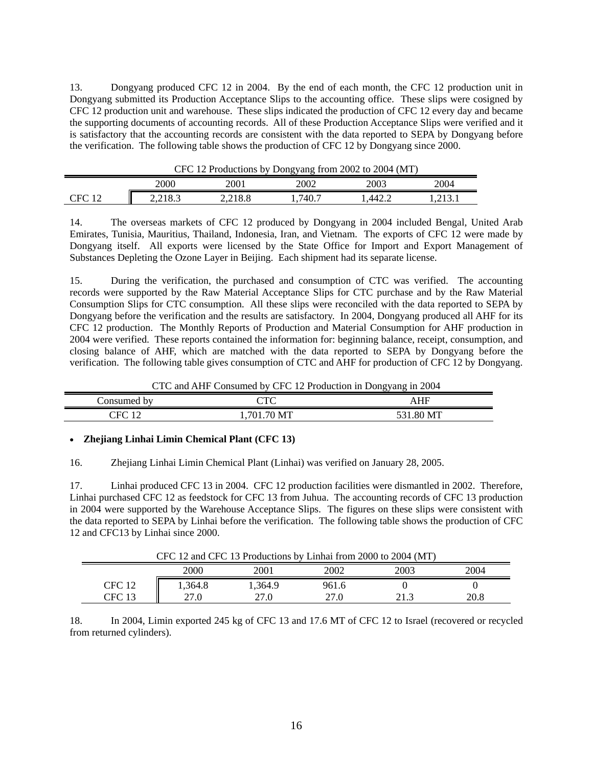13. Dongyang produced CFC 12 in 2004. By the end of each month, the CFC 12 production unit in Dongyang submitted its Production Acceptance Slips to the accounting office. These slips were cosigned by CFC 12 production unit and warehouse. These slips indicated the production of CFC 12 every day and became the supporting documents of accounting records. All of these Production Acceptance Slips were verified and it is satisfactory that the accounting records are consistent with the data reported to SEPA by Dongyang before the verification. The following table shows the production of CFC 12 by Dongyang since 2000.

| CFC 12 Productions by Dongyang from 2002 to 2004 (MT) |      |         |        |      |        |
|-------------------------------------------------------|------|---------|--------|------|--------|
|                                                       | 2000 | 2001    | 2002   | 2003 | 2004   |
| CFC                                                   |      | 2.218.8 | .740.7 | 442. | .213.1 |

14. The overseas markets of CFC 12 produced by Dongyang in 2004 included Bengal, United Arab Emirates, Tunisia, Mauritius, Thailand, Indonesia, Iran, and Vietnam. The exports of CFC 12 were made by Dongyang itself. All exports were licensed by the State Office for Import and Export Management of Substances Depleting the Ozone Layer in Beijing. Each shipment had its separate license.

15. During the verification, the purchased and consumption of CTC was verified. The accounting records were supported by the Raw Material Acceptance Slips for CTC purchase and by the Raw Material Consumption Slips for CTC consumption. All these slips were reconciled with the data reported to SEPA by Dongyang before the verification and the results are satisfactory. In 2004, Dongyang produced all AHF for its CFC 12 production. The Monthly Reports of Production and Material Consumption for AHF production in 2004 were verified. These reports contained the information for: beginning balance, receipt, consumption, and closing balance of AHF, which are matched with the data reported to SEPA by Dongyang before the verification. The following table gives consumption of CTC and AHF for production of CFC 12 by Dongyang.

CTC and AHF Consumed by CFC 12 Production in Dongyang in 2004

| rsumed<br>hv<br>nn | $\cap$ Tr $\cap$<br><b>IV</b>     |                               |
|--------------------|-----------------------------------|-------------------------------|
| `∟'<br>◡<br>       | . M <sup>T</sup><br>701<br>.<br>∼ | <b>MT</b><br>X<br>- -<br>1111 |

#### • **Zhejiang Linhai Limin Chemical Plant (CFC 13)**

16. Zhejiang Linhai Limin Chemical Plant (Linhai) was verified on January 28, 2005.

17. Linhai produced CFC 13 in 2004. CFC 12 production facilities were dismantled in 2002. Therefore, Linhai purchased CFC 12 as feedstock for CFC 13 from Juhua. The accounting records of CFC 13 production in 2004 were supported by the Warehouse Acceptance Slips. The figures on these slips were consistent with the data reported to SEPA by Linhai before the verification. The following table shows the production of CFC 12 and CFC13 by Linhai since 2000.

| CFC 12 and CFC 13 Productions by Linhai from 2000 to 2004 (MT) |        |         |       |      |      |
|----------------------------------------------------------------|--------|---------|-------|------|------|
|                                                                | 2000   | 2001    | 2002  | 2003 | 2004 |
| CFC 12                                                         | .364.8 | 1.364.9 | 961.6 |      |      |
| CFC 13                                                         | 27.0   | 27.0    | 27.0  | 21.3 | 20.8 |

 $1$  CFC 12 Productions by Linhardt by Linhardt and 2000 to 2000 to 2004 (MT)

18. In 2004, Limin exported 245 kg of CFC 13 and 17.6 MT of CFC 12 to Israel (recovered or recycled from returned cylinders).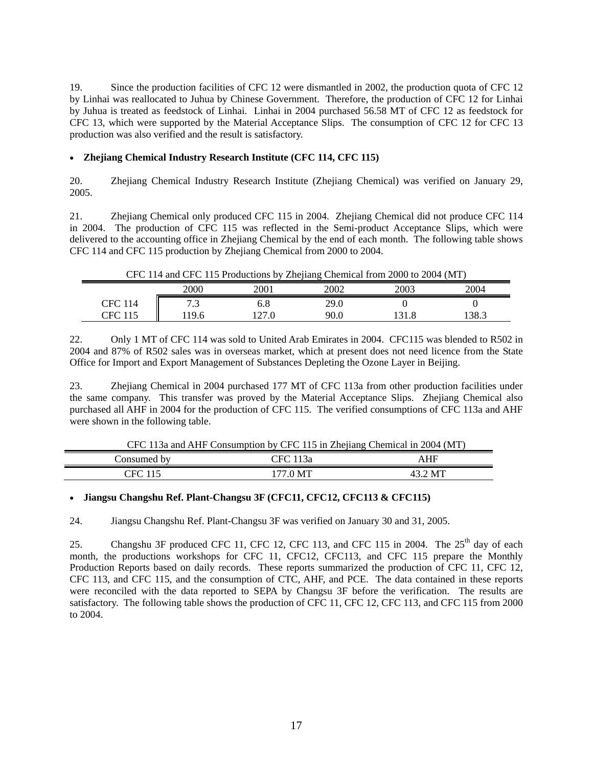19. Since the production facilities of CFC 12 were dismantled in 2002, the production quota of CFC 12 by Linhai was reallocated to Juhua by Chinese Government. Therefore, the production of CFC 12 for Linhai by Juhua is treated as feedstock of Linhai. Linhai in 2004 purchased 56.58 MT of CFC 12 as feedstock for CFC 13, which were supported by the Material Acceptance Slips. The consumption of CFC 12 for CFC 13 production was also verified and the result is satisfactory.

#### • **Zhejiang Chemical Industry Research Institute (CFC 114, CFC 115)**

 $\blacksquare$ 

20. Zhejiang Chemical Industry Research Institute (Zhejiang Chemical) was verified on January 29, 2005.

21. Zhejiang Chemical only produced CFC 115 in 2004. Zhejiang Chemical did not produce CFC 114 in 2004. The production of CFC 115 was reflected in the Semi-product Acceptance Slips, which were delivered to the accounting office in Zhejiang Chemical by the end of each month. The following table shows CFC 114 and CFC 115 production by Zhejiang Chemical from 2000 to 2004.

| CFC 114 and CFC 115 Productions by Zhejiang Chemical from 2000 to 2004 (MT) |      |      |      |      |      |
|-----------------------------------------------------------------------------|------|------|------|------|------|
|                                                                             | 2000 | 2001 | 2002 | 2003 | 2004 |
| <b>CFC 114</b>                                                              |      |      | 29.0 |      |      |
| CFC 115                                                                     | 196  | 27.0 | 90.0 | 31 X | 38.3 |

22. Only 1 MT of CFC 114 was sold to United Arab Emirates in 2004. CFC115 was blended to R502 in 2004 and 87% of R502 sales was in overseas market, which at present does not need licence from the State Office for Import and Export Management of Substances Depleting the Ozone Layer in Beijing.

23. Zhejiang Chemical in 2004 purchased 177 MT of CFC 113a from other production facilities under the same company. This transfer was proved by the Material Acceptance Slips. Zhejiang Chemical also purchased all AHF in 2004 for the production of CFC 115. The verified consumptions of CFC 113a and AHF were shown in the following table.

|  | CFC 113a and AHF Consumption by CFC 115 in Zhejiang Chemical in 2004 (MT) |  |
|--|---------------------------------------------------------------------------|--|
|  |                                                                           |  |

|                  | ----<br>------------------ |                        |
|------------------|----------------------------|------------------------|
| onsumed<br>. bv  | $\sqrt{2}$<br>13a          | $\sim$<br>$\mathbf{H}$ |
| $_{\rm EC}$<br>. | $M^{\mathbf{T}}$           | MT                     |

#### • **Jiangsu Changshu Ref. Plant-Changsu 3F (CFC11, CFC12, CFC113 & CFC115)**

24. Jiangsu Changshu Ref. Plant-Changsu 3F was verified on January 30 and 31, 2005.

25. Changshu 3F produced CFC 11, CFC 12, CFC 113, and CFC 115 in 2004. The  $25<sup>th</sup>$  day of each month, the productions workshops for CFC 11, CFC12, CFC113, and CFC 115 prepare the Monthly Production Reports based on daily records. These reports summarized the production of CFC 11, CFC 12, CFC 113, and CFC 115, and the consumption of CTC, AHF, and PCE. The data contained in these reports were reconciled with the data reported to SEPA by Changsu 3F before the verification. The results are satisfactory. The following table shows the production of CFC 11, CFC 12, CFC 113, and CFC 115 from 2000 to 2004.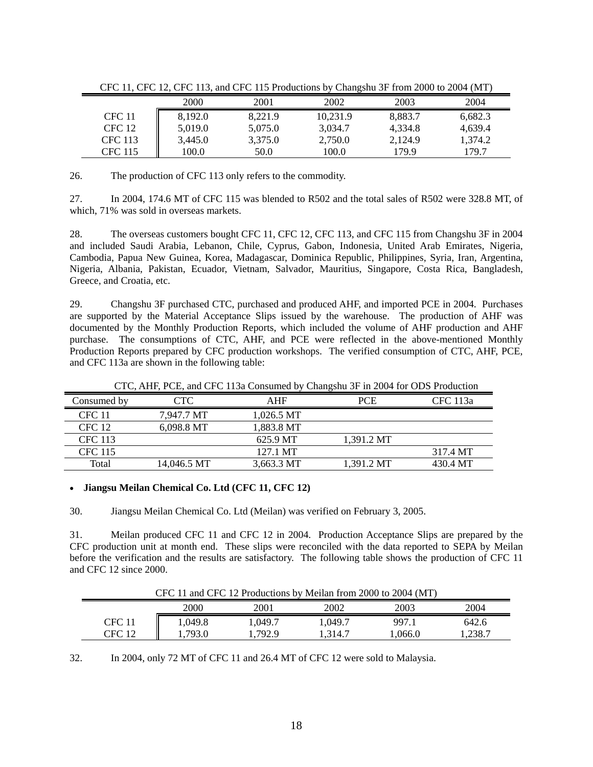|                |         |         | ----------- |         |         |
|----------------|---------|---------|-------------|---------|---------|
|                | 2000    | 2001    | 2002        | 2003    | 2004    |
| <b>CFC</b> 11  | 8,192.0 | 8.221.9 | 10.231.9    | 8,883.7 | 6.682.3 |
| CFC 12         | 5.019.0 | 5,075.0 | 3,034.7     | 4.334.8 | 4.639.4 |
| <b>CFC</b> 113 | 3.445.0 | 3,375.0 | 2,750.0     | 2,124.9 | 1.374.2 |
| <b>CFC 115</b> | 100.0   | 50.0    | 100.0       | 179.9   | 179.7   |

CFC 11, CFC 12, CFC 113, and CFC 115 Productions by Changshu 3F from 2000 to 2004 (MT)

26. The production of CFC 113 only refers to the commodity.

27. In 2004, 174.6 MT of CFC 115 was blended to R502 and the total sales of R502 were 328.8 MT, of which, 71% was sold in overseas markets.

28. The overseas customers bought CFC 11, CFC 12, CFC 113, and CFC 115 from Changshu 3F in 2004 and included Saudi Arabia, Lebanon, Chile, Cyprus, Gabon, Indonesia, United Arab Emirates, Nigeria, Cambodia, Papua New Guinea, Korea, Madagascar, Dominica Republic, Philippines, Syria, Iran, Argentina, Nigeria, Albania, Pakistan, Ecuador, Vietnam, Salvador, Mauritius, Singapore, Costa Rica, Bangladesh, Greece, and Croatia, etc.

29. Changshu 3F purchased CTC, purchased and produced AHF, and imported PCE in 2004. Purchases are supported by the Material Acceptance Slips issued by the warehouse. The production of AHF was documented by the Monthly Production Reports, which included the volume of AHF production and AHF purchase. The consumptions of CTC, AHF, and PCE were reflected in the above-mentioned Monthly Production Reports prepared by CFC production workshops. The verified consumption of CTC, AHF, PCE, and CFC 113a are shown in the following table:

|                |             |            | $\tilde{\phantom{a}}$ |          |
|----------------|-------------|------------|-----------------------|----------|
| Consumed by    | CTC .       | <b>AHF</b> | PCE                   | CFC 113a |
| <b>CFC 11</b>  | 7.947.7 MT  | 1.026.5 MT |                       |          |
| <b>CFC 12</b>  | 6.098.8 MT  | 1,883.8 MT |                       |          |
| <b>CFC 113</b> |             | 625.9 MT   | 1.391.2 MT            |          |
| <b>CFC 115</b> |             | 127.1 MT   |                       | 317.4 MT |
| Total          | 14,046.5 MT | 3,663.3 MT | 1.391.2 MT            | 430.4 MT |

CTC, AHF, PCE, and CFC 113a Consumed by Changshu 3F in 2004 for ODS Production

#### • **Jiangsu Meilan Chemical Co. Ltd (CFC 11, CFC 12)**

30. Jiangsu Meilan Chemical Co. Ltd (Meilan) was verified on February 3, 2005.

31. Meilan produced CFC 11 and CFC 12 in 2004. Production Acceptance Slips are prepared by the CFC production unit at month end. These slips were reconciled with the data reported to SEPA by Meilan before the verification and the results are satisfactory. The following table shows the production of CFC 11 and CFC 12 since 2000.

CFC 11 and CFC 12 Productions by Meilan from 2000 to 2004 (MT)

|        | 2000            | 2001    | 2002    | 2003    | 2004    |
|--------|-----------------|---------|---------|---------|---------|
| CFC 11 | ,049.8          | ,049.7  | 1,049.7 | 997.1   | 642.6   |
| CFC 12 | 703 C<br>' ノフ・し | 1,792.9 | 314.7   | 0.066.0 | 1,238.7 |

32. In 2004, only 72 MT of CFC 11 and 26.4 MT of CFC 12 were sold to Malaysia.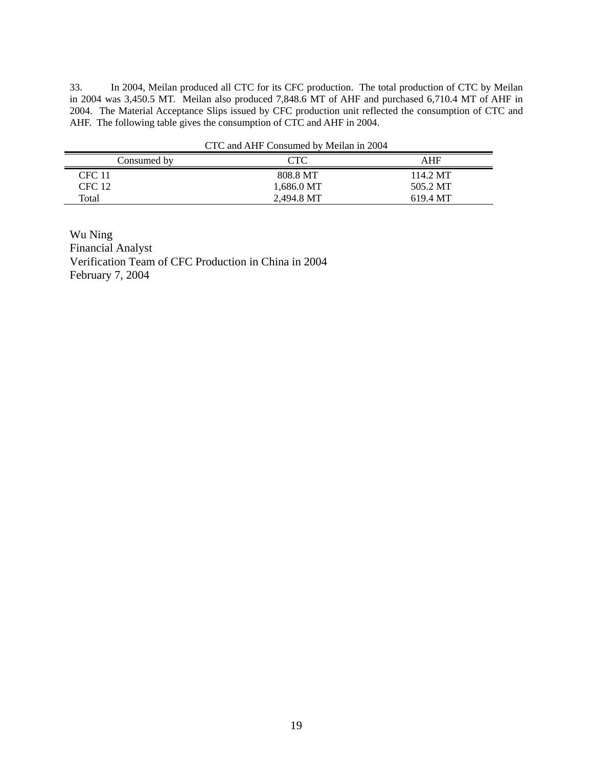33. In 2004, Meilan produced all CTC for its CFC production. The total production of CTC by Meilan in 2004 was 3,450.5 MT. Meilan also produced 7,848.6 MT of AHF and purchased 6,710.4 MT of AHF in 2004. The Material Acceptance Slips issued by CFC production unit reflected the consumption of CTC and AHF. The following table gives the consumption of CTC and AHF in 2004.

|               | CTC and AHF Consumed by Meilan in 2004 |          |
|---------------|----------------------------------------|----------|
| Consumed by   | CTC                                    | AHF      |
| <b>CFC 11</b> | 808.8 MT                               | 114.2 MT |
| CFC 12        | 1,686.0 MT                             | 505.2 MT |
| Total         | 2.494.8 MT                             | 619.4 MT |

Wu Ning Financial Analyst Verification Team of CFC Production in China in 2004 February 7, 2004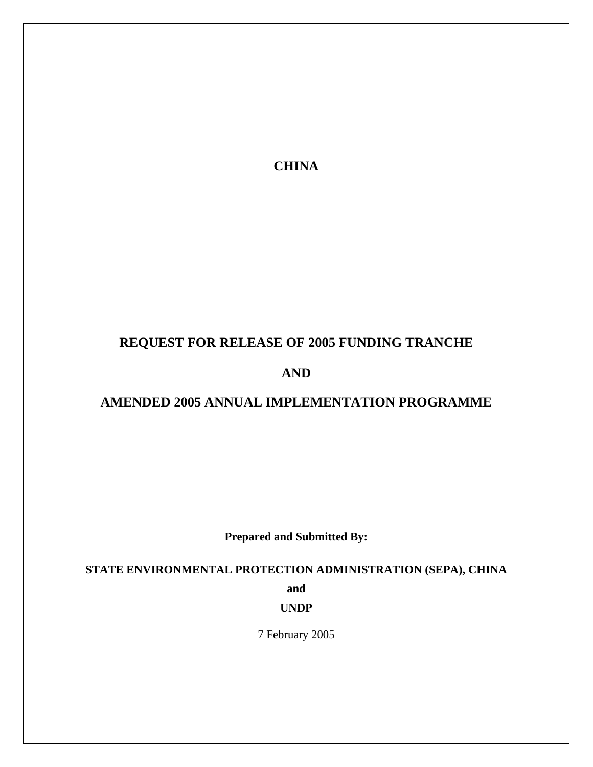**CHINA** 

# **REQUEST FOR RELEASE OF 2005 FUNDING TRANCHE**

**AND** 

# **AMENDED 2005 ANNUAL IMPLEMENTATION PROGRAMME**

**Prepared and Submitted By:** 

**STATE ENVIRONMENTAL PROTECTION ADMINISTRATION (SEPA), CHINA** 

**and** 

**UNDP** 

7 February 2005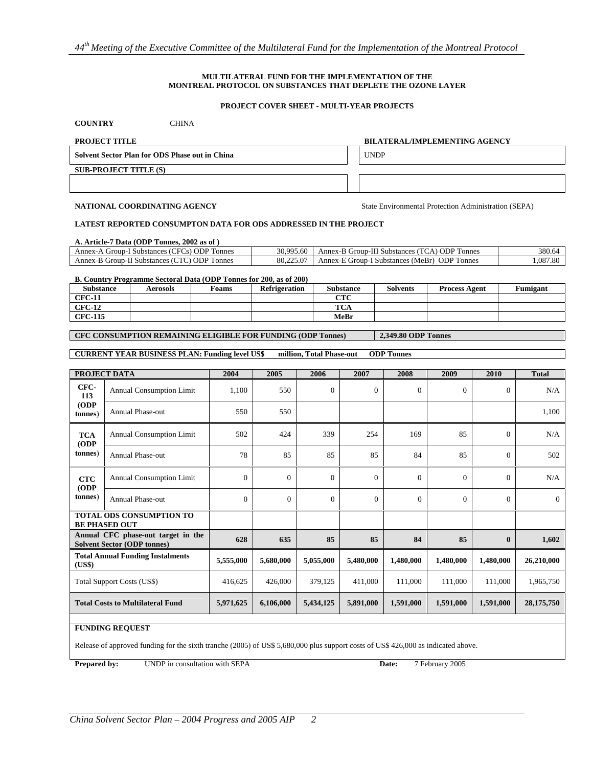#### **MULTILATERAL FUND FOR THE IMPLEMENTATION OF THE MONTREAL PROTOCOL ON SUBSTANCES THAT DEPLETE THE OZONE LAYER**

#### **PROJECT COVER SHEET - MULTI-YEAR PROJECTS**

| <b>CHINA</b><br><b>COUNTRY</b>                 |                                      |
|------------------------------------------------|--------------------------------------|
| <b>PROJECT TITLE</b>                           | <b>BILATERAL/IMPLEMENTING AGENCY</b> |
| Solvent Sector Plan for ODS Phase out in China | <b>UNDP</b>                          |
| <b>SUB-PROJECT TITLE (S)</b>                   |                                      |
|                                                |                                      |

**NATIONAL COORDINATING AGENCY** State Environmental Protection Administration (SEPA)

#### **LATEST REPORTED CONSUMPTON DATA FOR ODS ADDRESSED IN THE PROJECT**

| A. Article-7 Data (ODP Tonnes, 2002 as of) |  |
|--------------------------------------------|--|
|                                            |  |

| <b>ODPT</b><br>onnes<br>Annex-/<br>`нт<br>. Substances<br>roup-1<br>$\sim$ S $\sim$ | 30.995<br>/5.60         | , ODP T<br><b>Connes</b><br>Annex-B Group-<br>II Substances<br>. د     | 380.6          |
|-------------------------------------------------------------------------------------|-------------------------|------------------------------------------------------------------------|----------------|
| , ODP T<br>connes<br>Annex-E<br>Group-I'<br>Substances (V                           | $\sim$<br>80.2.<br>.225 | $\sim$<br>ODP T<br>(MeBr)<br>Connes<br>Group-<br>Annex-F<br>Substances | $.08-$<br>7.80 |
|                                                                                     |                         |                                                                        |                |

**B. Country Programme Sectoral Data (ODP Tonnes for 200, as of 200)**

| <b>Substance</b> | Aerosols | Foams | <b>Refrigeration</b> | <b>Substance</b>            | <b>Solvents</b> | <b>Process Agent</b> | <b>Fumigant</b> |
|------------------|----------|-------|----------------------|-----------------------------|-----------------|----------------------|-----------------|
| <b>CFC-11</b>    |          |       |                      | $\alpha$ TM $\alpha$<br>URU |                 |                      |                 |
| <b>CFC-12</b>    |          |       |                      | <b>TCA</b>                  |                 |                      |                 |
| <b>CFC-115</b>   |          |       |                      | MeBr                        |                 |                      |                 |

**CFC CONSUMPTION REMAINING ELIGIBLE FOR FUNDING (ODP Tonnes) 2,349.80 ODP Tonnes** 

#### **CURRENT YEAR BUSINESS PLAN: Funding level US\$ million, Total Phase-out ODP Tonnes**

|                                   | PROJECT DATA                                                             | 2004           | 2005      | 2006         | 2007           | 2008      | 2009      | 2010           | <b>Total</b> |
|-----------------------------------|--------------------------------------------------------------------------|----------------|-----------|--------------|----------------|-----------|-----------|----------------|--------------|
| CFC-<br>113                       | Annual Consumption Limit                                                 | 1,100          | 550       | $\mathbf{0}$ | $\mathbf{0}$   | $\theta$  | $\Omega$  | $\overline{0}$ | N/A          |
| (ODP)<br>tonnes)                  | <b>Annual Phase-out</b>                                                  | 550            | 550       |              |                |           |           |                | 1,100        |
| <b>TCA</b><br>(ODP)               | <b>Annual Consumption Limit</b>                                          | 502            | 424       | 339          | 254            | 169       | 85        | $\Omega$       | N/A          |
| tonnes)                           | <b>Annual Phase-out</b>                                                  | 78             | 85        | 85           | 85             | 84        | 85        | $\Omega$       | 502          |
| <b>CTC</b><br>(ODP)               | <b>Annual Consumption Limit</b>                                          | $\mathbf{0}$   | $\Omega$  | $\Omega$     | $\mathbf{0}$   | $\Omega$  | $\Omega$  | $\Omega$       | N/A          |
| (tonnes)                          | <b>Annual Phase-out</b>                                                  | $\overline{0}$ | $\Omega$  | $\Omega$     | $\overline{0}$ | $\Omega$  | $\Omega$  | $\Omega$       | $\Omega$     |
|                                   | <b>TOTAL ODS CONSUMPTION TO</b><br><b>BE PHASED OUT</b>                  |                |           |              |                |           |           |                |              |
|                                   | Annual CFC phase-out target in the<br><b>Solvent Sector (ODP tonnes)</b> | 628            | 635       | 85           | 85             | 84        | 85        | $\bf{0}$       | 1,602        |
| (US\$)                            | <b>Total Annual Funding Instalments</b>                                  | 5,555,000      | 5,680,000 | 5,055,000    | 5,480,000      | 1,480,000 | 1,480,000 | 1,480,000      | 26,210,000   |
| <b>Total Support Costs (US\$)</b> |                                                                          | 416,625        | 426,000   | 379,125      | 411.000        | 111,000   | 111,000   | 111.000        | 1,965,750    |
|                                   | <b>Total Costs to Multilateral Fund</b>                                  | 5,971,625      | 6,106,000 | 5,434,125    | 5,891,000      | 1,591,000 | 1,591,000 | 1,591,000      | 28, 175, 750 |
|                                   |                                                                          |                |           |              |                |           |           |                |              |

#### **FUNDING REQUEST**

Release of approved funding for the sixth tranche (2005) of US\$ 5,680,000 plus support costs of US\$ 426,000 as indicated above.

**Prepared by:** UNDP in consultation with SEPA Date: 7 February 2005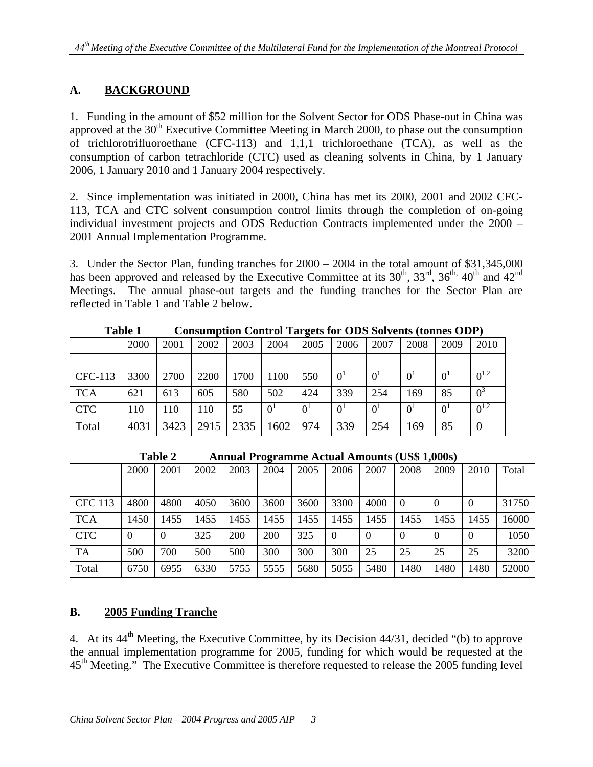# **A. BACKGROUND**

1. Funding in the amount of \$52 million for the Solvent Sector for ODS Phase-out in China was approved at the  $30<sup>th</sup>$  Executive Committee Meeting in March 2000, to phase out the consumption of trichlorotrifluoroethane (CFC-113) and 1,1,1 trichloroethane (TCA), as well as the consumption of carbon tetrachloride (CTC) used as cleaning solvents in China, by 1 January 2006, 1 January 2010 and 1 January 2004 respectively.

2. Since implementation was initiated in 2000, China has met its 2000, 2001 and 2002 CFC-113, TCA and CTC solvent consumption control limits through the completion of on-going individual investment projects and ODS Reduction Contracts implemented under the 2000 – 2001 Annual Implementation Programme.

3. Under the Sector Plan, funding tranches for 2000 – 2004 in the total amount of \$31,345,000 has been approved and released by the Executive Committee at its  $30^{th}$ ,  $33^{rd}$ ,  $36^{th}$ ,  $40^{th}$  and  $42^{nd}$ Meetings. The annual phase-out targets and the funding tranches for the Sector Plan are reflected in Table 1 and Table 2 below.

|            | 2000 | 2001 | 2002 | 2003 | 2004           | 2005           | 2006           | 2007           | 2008           | 2009           | 2010      |
|------------|------|------|------|------|----------------|----------------|----------------|----------------|----------------|----------------|-----------|
|            |      |      |      |      |                |                |                |                |                |                |           |
| CFC-113    | 3300 | 2700 | 2200 | 1700 | 1100           | 550            | 0 <sup>1</sup> | 0 <sup>1</sup> | 0 <sup>1</sup> | 0 <sup>1</sup> | $0^{1,2}$ |
| <b>TCA</b> | 621  | 613  | 605  | 580  | 502            | 424            | 339            | 254            | 169            | 85             | $0^3$     |
| <b>CTC</b> | 110  | 110  | 110  | 55   | 0 <sup>1</sup> | 0 <sup>1</sup> | 0 <sup>1</sup> | 0 <sup>1</sup> | 0 <sup>1</sup> | 0 <sup>1</sup> | $0^{1,2}$ |
| Total      | 4031 | 3423 | 2915 | 2335 | 1602           | 974            | 339            | 254            | 169            | 85             |           |

**Table 1 Consumption Control Targets for ODS Solvents (tonnes ODP)** 

 **Table 2 Annual Programme Actual Amounts (US\$ 1,000s)** 

|                | 2000     | 2001 | 2002 | 2003 | 2004 | 2005 | 2006           | 2007     | 2008     | 2009 | 2010           | Total |
|----------------|----------|------|------|------|------|------|----------------|----------|----------|------|----------------|-------|
|                |          |      |      |      |      |      |                |          |          |      |                |       |
| <b>CFC</b> 113 | 4800     | 4800 | 4050 | 3600 | 3600 | 3600 | 3300           | 4000     | $\Omega$ |      | $\theta$       | 31750 |
| <b>TCA</b>     | 1450     | 1455 | 1455 | 1455 | 1455 | 1455 | 1455           | 1455     | 1455     | 1455 | 1455           | 16000 |
| <b>CTC</b>     | $\theta$ |      | 325  | 200  | 200  | 325  | $\overline{0}$ | $\Omega$ | $\Omega$ |      | $\overline{0}$ | 1050  |
| <b>TA</b>      | 500      | 700  | 500  | 500  | 300  | 300  | 300            | 25       | 25       | 25   | 25             | 3200  |
| Total          | 6750     | 6955 | 6330 | 5755 | 5555 | 5680 | 5055           | 5480     | 1480     | 1480 | 1480           | 52000 |

# **B. 2005 Funding Tranche**

4. At its 44<sup>th</sup> Meeting, the Executive Committee, by its Decision 44/31, decided "(b) to approve the annual implementation programme for 2005, funding for which would be requested at the 45<sup>th</sup> Meeting." The Executive Committee is therefore requested to release the 2005 funding level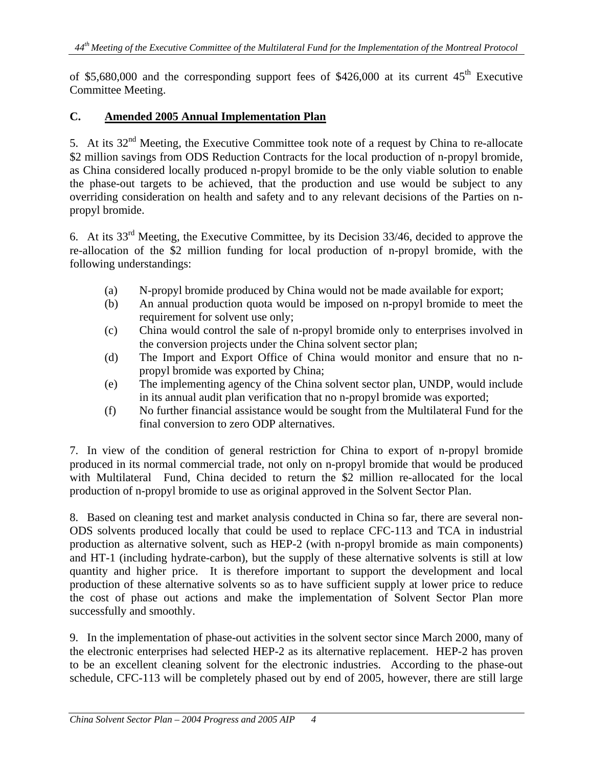of \$5,680,000 and the corresponding support fees of  $$426,000$  at its current  $45<sup>th</sup>$  Executive Committee Meeting.

# **C. Amended 2005 Annual Implementation Plan**

5. At its 32<sup>nd</sup> Meeting, the Executive Committee took note of a request by China to re-allocate \$2 million savings from ODS Reduction Contracts for the local production of n-propyl bromide, as China considered locally produced n-propyl bromide to be the only viable solution to enable the phase-out targets to be achieved, that the production and use would be subject to any overriding consideration on health and safety and to any relevant decisions of the Parties on npropyl bromide.

6. At its 33rd Meeting, the Executive Committee, by its Decision 33/46, decided to approve the re-allocation of the \$2 million funding for local production of n-propyl bromide, with the following understandings:

- (a) N-propyl bromide produced by China would not be made available for export;
- (b) An annual production quota would be imposed on n-propyl bromide to meet the requirement for solvent use only;
- (c) China would control the sale of n-propyl bromide only to enterprises involved in the conversion projects under the China solvent sector plan;
- (d) The Import and Export Office of China would monitor and ensure that no npropyl bromide was exported by China;
- (e) The implementing agency of the China solvent sector plan, UNDP, would include in its annual audit plan verification that no n-propyl bromide was exported;
- (f) No further financial assistance would be sought from the Multilateral Fund for the final conversion to zero ODP alternatives.

7. In view of the condition of general restriction for China to export of n-propyl bromide produced in its normal commercial trade, not only on n-propyl bromide that would be produced with Multilateral Fund, China decided to return the \$2 million re-allocated for the local production of n-propyl bromide to use as original approved in the Solvent Sector Plan.

8. Based on cleaning test and market analysis conducted in China so far, there are several non-ODS solvents produced locally that could be used to replace CFC-113 and TCA in industrial production as alternative solvent, such as HEP-2 (with n-propyl bromide as main components) and HT-1 (including hydrate-carbon), but the supply of these alternative solvents is still at low quantity and higher price. It is therefore important to support the development and local production of these alternative solvents so as to have sufficient supply at lower price to reduce the cost of phase out actions and make the implementation of Solvent Sector Plan more successfully and smoothly.

9. In the implementation of phase-out activities in the solvent sector since March 2000, many of the electronic enterprises had selected HEP-2 as its alternative replacement. HEP-2 has proven to be an excellent cleaning solvent for the electronic industries. According to the phase-out schedule, CFC-113 will be completely phased out by end of 2005, however, there are still large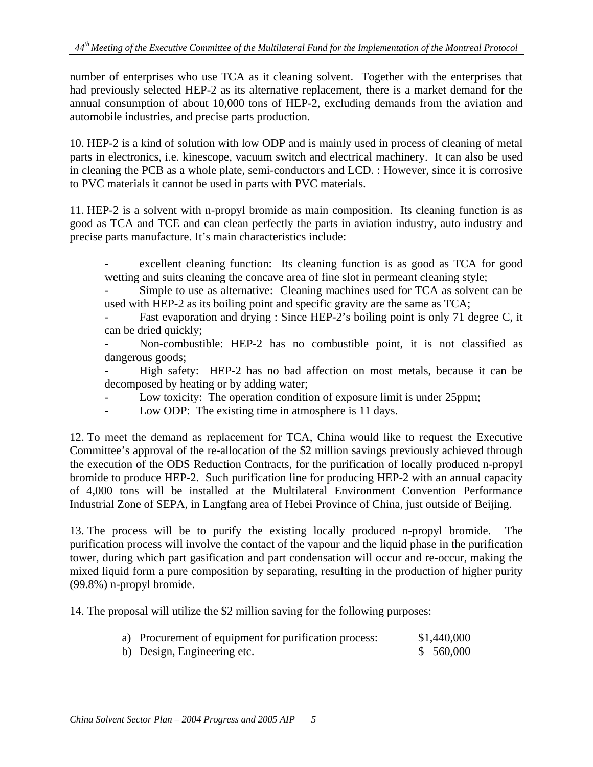number of enterprises who use TCA as it cleaning solvent. Together with the enterprises that had previously selected HEP-2 as its alternative replacement, there is a market demand for the annual consumption of about 10,000 tons of HEP-2, excluding demands from the aviation and automobile industries, and precise parts production.

10. HEP-2 is a kind of solution with low ODP and is mainly used in process of cleaning of metal parts in electronics, i.e. kinescope, vacuum switch and electrical machinery. It can also be used in cleaning the PCB as a whole plate, semi-conductors and LCD. : However, since it is corrosive to PVC materials it cannot be used in parts with PVC materials.

11. HEP-2 is a solvent with n-propyl bromide as main composition. Its cleaning function is as good as TCA and TCE and can clean perfectly the parts in aviation industry, auto industry and precise parts manufacture. It's main characteristics include:

excellent cleaning function: Its cleaning function is as good as TCA for good wetting and suits cleaning the concave area of fine slot in permeant cleaning style;

Simple to use as alternative: Cleaning machines used for TCA as solvent can be used with HEP-2 as its boiling point and specific gravity are the same as TCA;

Fast evaporation and drying : Since HEP-2's boiling point is only 71 degree C, it can be dried quickly;

Non-combustible: HEP-2 has no combustible point, it is not classified as dangerous goods;

- High safety: HEP-2 has no bad affection on most metals, because it can be decomposed by heating or by adding water;

- Low toxicity: The operation condition of exposure limit is under 25ppm;
- Low ODP: The existing time in atmosphere is 11 days.

12. To meet the demand as replacement for TCA, China would like to request the Executive Committee's approval of the re-allocation of the \$2 million savings previously achieved through the execution of the ODS Reduction Contracts, for the purification of locally produced n-propyl bromide to produce HEP-2. Such purification line for producing HEP-2 with an annual capacity of 4,000 tons will be installed at the Multilateral Environment Convention Performance Industrial Zone of SEPA, in Langfang area of Hebei Province of China, just outside of Beijing.

13. The process will be to purify the existing locally produced n-propyl bromide. The purification process will involve the contact of the vapour and the liquid phase in the purification tower, during which part gasification and part condensation will occur and re-occur, making the mixed liquid form a pure composition by separating, resulting in the production of higher purity (99.8%) n-propyl bromide.

14. The proposal will utilize the \$2 million saving for the following purposes:

| a) Procurement of equipment for purification process: | \$1,440,000 |
|-------------------------------------------------------|-------------|
| b) Design, Engineering etc.                           | \$560,000   |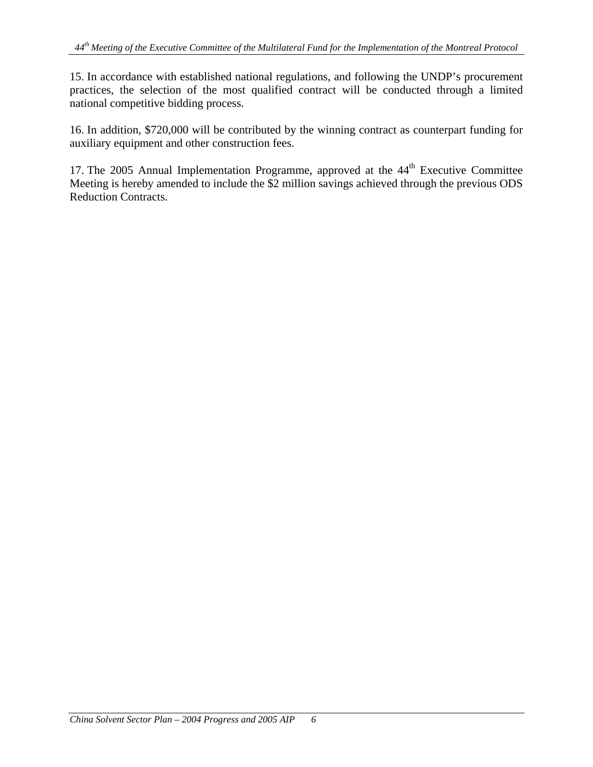15. In accordance with established national regulations, and following the UNDP's procurement practices, the selection of the most qualified contract will be conducted through a limited national competitive bidding process.

16. In addition, \$720,000 will be contributed by the winning contract as counterpart funding for auxiliary equipment and other construction fees.

17. The 2005 Annual Implementation Programme, approved at the  $44<sup>th</sup>$  Executive Committee Meeting is hereby amended to include the \$2 million savings achieved through the previous ODS Reduction Contracts.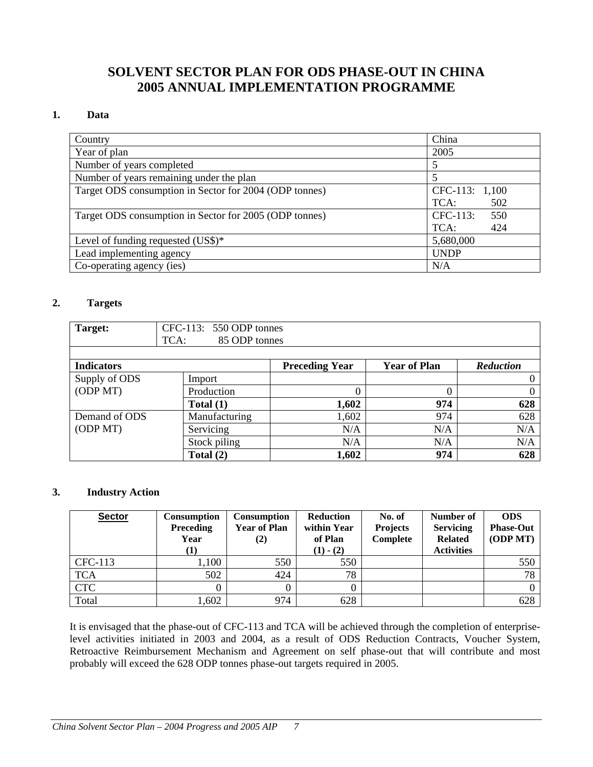# **SOLVENT SECTOR PLAN FOR ODS PHASE-OUT IN CHINA 2005 ANNUAL IMPLEMENTATION PROGRAMME**

#### **1. Data**

| Country                                                | China           |
|--------------------------------------------------------|-----------------|
| Year of plan                                           | 2005            |
| Number of years completed                              |                 |
| Number of years remaining under the plan               |                 |
| Target ODS consumption in Sector for 2004 (ODP tonnes) | CFC-113: 1,100  |
|                                                        | TCA:<br>502     |
| Target ODS consumption in Sector for 2005 (ODP tonnes) | CFC-113:<br>550 |
|                                                        | 424<br>TCA:     |
| Level of funding requested $(US\$ )^*                  | 5,680,000       |
| Lead implementing agency                               | <b>UNDP</b>     |
| Co-operating agency (ies)                              | N/A             |

#### **2. Targets**

| Target:           | $CFC-113: 550 ODP$ tonnes<br>TCA:<br>85 ODP tonnes |                       |                     |                  |
|-------------------|----------------------------------------------------|-----------------------|---------------------|------------------|
|                   |                                                    |                       |                     |                  |
| <b>Indicators</b> |                                                    | <b>Preceding Year</b> | <b>Year of Plan</b> | <b>Reduction</b> |
| Supply of ODS     | Import                                             |                       |                     |                  |
| (ODPMT)           | Production                                         | 0                     | 0                   | 0                |
|                   | Total $(1)$                                        | 1,602                 | 974                 | 628              |
| Demand of ODS     | Manufacturing                                      | 1,602                 | 974                 | 628              |
| (ODPMT)           | Servicing                                          | N/A                   | N/A                 | N/A              |
|                   | Stock piling                                       | N/A                   | N/A                 | N/A              |
|                   | Total $(2)$                                        | 1,602                 | 974                 | 628              |

#### **3. Industry Action**

| <b>Sector</b> | <b>Consumption</b><br><b>Preceding</b><br>Year | Consumption<br><b>Year of Plan</b><br>(2) | <b>Reduction</b><br>within Year<br>of Plan<br>$(1) - (2)$ | No. of<br><b>Projects</b><br>Complete | Number of<br><b>Servicing</b><br><b>Related</b><br><b>Activities</b> | <b>ODS</b><br><b>Phase-Out</b><br>(ODPMT) |
|---------------|------------------------------------------------|-------------------------------------------|-----------------------------------------------------------|---------------------------------------|----------------------------------------------------------------------|-------------------------------------------|
| CFC-113       | ,100                                           | 550                                       | 550                                                       |                                       |                                                                      | 550                                       |
| <b>TCA</b>    | 502                                            | 424                                       | 78                                                        |                                       |                                                                      | 78                                        |
| <b>CTC</b>    |                                                |                                           |                                                           |                                       |                                                                      |                                           |
| Total         | ,602                                           | 974                                       | 628                                                       |                                       |                                                                      | 628                                       |

It is envisaged that the phase-out of CFC-113 and TCA will be achieved through the completion of enterpriselevel activities initiated in 2003 and 2004, as a result of ODS Reduction Contracts, Voucher System, Retroactive Reimbursement Mechanism and Agreement on self phase-out that will contribute and most probably will exceed the 628 ODP tonnes phase-out targets required in 2005.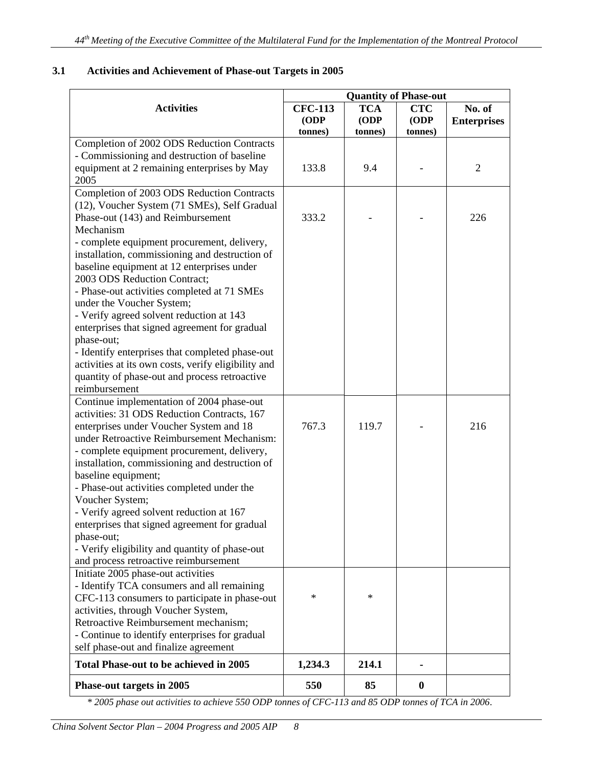|                                                                                       | <b>Quantity of Phase-out</b>      |                               |                               |                              |  |  |  |
|---------------------------------------------------------------------------------------|-----------------------------------|-------------------------------|-------------------------------|------------------------------|--|--|--|
| <b>Activities</b>                                                                     | <b>CFC-113</b><br>(ODP<br>tonnes) | <b>TCA</b><br>(ODP<br>tonnes) | <b>CTC</b><br>(ODP<br>tonnes) | No. of<br><b>Enterprises</b> |  |  |  |
| Completion of 2002 ODS Reduction Contracts                                            |                                   |                               |                               |                              |  |  |  |
| - Commissioning and destruction of baseline                                           |                                   |                               |                               |                              |  |  |  |
| equipment at 2 remaining enterprises by May                                           | 133.8                             | 9.4                           |                               | $\overline{2}$               |  |  |  |
| 2005                                                                                  |                                   |                               |                               |                              |  |  |  |
| Completion of 2003 ODS Reduction Contracts                                            |                                   |                               |                               |                              |  |  |  |
| (12), Voucher System (71 SMEs), Self Gradual                                          |                                   |                               |                               |                              |  |  |  |
| Phase-out (143) and Reimbursement                                                     | 333.2                             |                               |                               | 226                          |  |  |  |
| Mechanism                                                                             |                                   |                               |                               |                              |  |  |  |
| - complete equipment procurement, delivery,                                           |                                   |                               |                               |                              |  |  |  |
| installation, commissioning and destruction of                                        |                                   |                               |                               |                              |  |  |  |
| baseline equipment at 12 enterprises under                                            |                                   |                               |                               |                              |  |  |  |
| 2003 ODS Reduction Contract;                                                          |                                   |                               |                               |                              |  |  |  |
| - Phase-out activities completed at 71 SMEs                                           |                                   |                               |                               |                              |  |  |  |
| under the Voucher System;                                                             |                                   |                               |                               |                              |  |  |  |
| - Verify agreed solvent reduction at 143                                              |                                   |                               |                               |                              |  |  |  |
| enterprises that signed agreement for gradual                                         |                                   |                               |                               |                              |  |  |  |
| phase-out;                                                                            |                                   |                               |                               |                              |  |  |  |
| - Identify enterprises that completed phase-out                                       |                                   |                               |                               |                              |  |  |  |
| activities at its own costs, verify eligibility and                                   |                                   |                               |                               |                              |  |  |  |
| quantity of phase-out and process retroactive                                         |                                   |                               |                               |                              |  |  |  |
| reimbursement                                                                         |                                   |                               |                               |                              |  |  |  |
| Continue implementation of 2004 phase-out                                             |                                   |                               |                               |                              |  |  |  |
| activities: 31 ODS Reduction Contracts, 167                                           | 767.3                             | 119.7                         |                               | 216                          |  |  |  |
| enterprises under Voucher System and 18<br>under Retroactive Reimbursement Mechanism: |                                   |                               |                               |                              |  |  |  |
| - complete equipment procurement, delivery,                                           |                                   |                               |                               |                              |  |  |  |
| installation, commissioning and destruction of                                        |                                   |                               |                               |                              |  |  |  |
| baseline equipment;                                                                   |                                   |                               |                               |                              |  |  |  |
| - Phase-out activities completed under the                                            |                                   |                               |                               |                              |  |  |  |
| Voucher System;                                                                       |                                   |                               |                               |                              |  |  |  |
| - Verify agreed solvent reduction at 167                                              |                                   |                               |                               |                              |  |  |  |
| enterprises that signed agreement for gradual                                         |                                   |                               |                               |                              |  |  |  |
| phase-out;                                                                            |                                   |                               |                               |                              |  |  |  |
| - Verify eligibility and quantity of phase-out                                        |                                   |                               |                               |                              |  |  |  |
| and process retroactive reimbursement                                                 |                                   |                               |                               |                              |  |  |  |
| Initiate 2005 phase-out activities                                                    |                                   |                               |                               |                              |  |  |  |
| - Identify TCA consumers and all remaining                                            |                                   |                               |                               |                              |  |  |  |
| CFC-113 consumers to participate in phase-out                                         | $\ast$                            | *                             |                               |                              |  |  |  |
| activities, through Voucher System,                                                   |                                   |                               |                               |                              |  |  |  |
| Retroactive Reimbursement mechanism;                                                  |                                   |                               |                               |                              |  |  |  |
| - Continue to identify enterprises for gradual                                        |                                   |                               |                               |                              |  |  |  |
| self phase-out and finalize agreement                                                 |                                   |                               |                               |                              |  |  |  |
| Total Phase-out to be achieved in 2005                                                | 1,234.3                           | 214.1                         |                               |                              |  |  |  |
| Phase-out targets in 2005                                                             | 550                               | 85                            | $\bf{0}$                      |                              |  |  |  |

# **3.1 Activities and Achievement of Phase-out Targets in 2005**

*\* 2005 phase out activities to achieve 550 ODP tonnes of CFC-113 and 85 ODP tonnes of TCA in 2006*.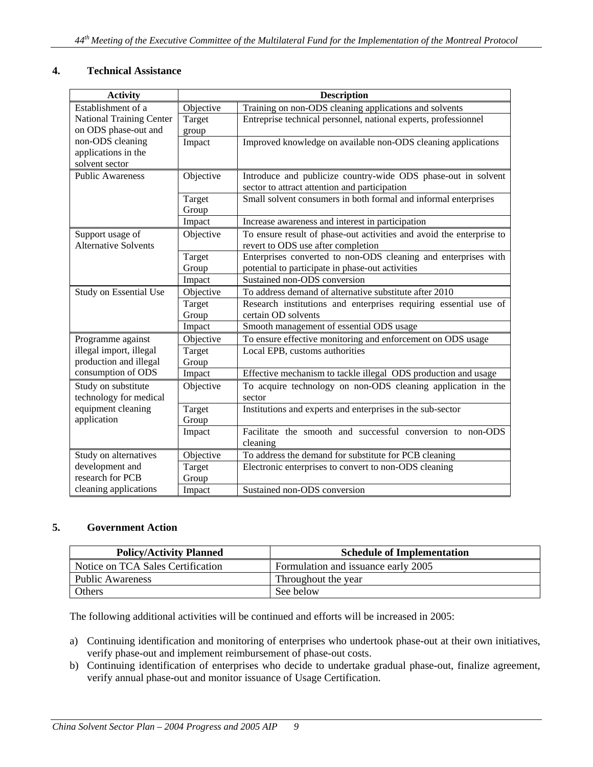#### **4. Technical Assistance**

| <b>Activity</b>                                                                    | <b>Description</b> |                                                                                                                |  |
|------------------------------------------------------------------------------------|--------------------|----------------------------------------------------------------------------------------------------------------|--|
| Establishment of a                                                                 | Objective          | Training on non-ODS cleaning applications and solvents                                                         |  |
| <b>National Training Center</b>                                                    | Target             | Entreprise technical personnel, national experts, professionnel                                                |  |
| on ODS phase-out and                                                               | group              |                                                                                                                |  |
| non-ODS cleaning                                                                   | Impact             | Improved knowledge on available non-ODS cleaning applications                                                  |  |
| applications in the                                                                |                    |                                                                                                                |  |
| solvent sector                                                                     |                    |                                                                                                                |  |
| <b>Public Awareness</b>                                                            | Objective          | Introduce and publicize country-wide ODS phase-out in solvent<br>sector to attract attention and participation |  |
|                                                                                    |                    |                                                                                                                |  |
|                                                                                    | Target<br>Group    | Small solvent consumers in both formal and informal enterprises                                                |  |
|                                                                                    | Impact             | Increase awareness and interest in participation                                                               |  |
| Support usage of<br><b>Alternative Solvents</b>                                    | Objective          | To ensure result of phase-out activities and avoid the enterprise to<br>revert to ODS use after completion     |  |
|                                                                                    | Target             | Enterprises converted to non-ODS cleaning and enterprises with                                                 |  |
|                                                                                    | Group              | potential to participate in phase-out activities                                                               |  |
|                                                                                    | Impact             | Sustained non-ODS conversion                                                                                   |  |
| Study on Essential Use                                                             | Objective          | To address demand of alternative substitute after 2010                                                         |  |
|                                                                                    | Target             | Research institutions and enterprises requiring essential use of                                               |  |
|                                                                                    | Group              | certain OD solvents                                                                                            |  |
|                                                                                    | Impact             | Smooth management of essential ODS usage                                                                       |  |
| Programme against                                                                  | Objective          | To ensure effective monitoring and enforcement on ODS usage                                                    |  |
| illegal import, illegal                                                            | Target             | Local EPB, customs authorities                                                                                 |  |
| production and illegal                                                             | Group              |                                                                                                                |  |
| consumption of ODS                                                                 | Impact             | Effective mechanism to tackle illegal ODS production and usage                                                 |  |
| Study on substitute<br>technology for medical<br>equipment cleaning<br>application | Objective          | To acquire technology on non-ODS cleaning application in the<br>sector                                         |  |
|                                                                                    | Target             | Institutions and experts and enterprises in the sub-sector                                                     |  |
|                                                                                    | Group              |                                                                                                                |  |
|                                                                                    | Impact             | Facilitate the smooth and successful conversion to non-ODS                                                     |  |
|                                                                                    |                    | cleaning                                                                                                       |  |
| Study on alternatives                                                              | Objective          | To address the demand for substitute for PCB cleaning                                                          |  |
| development and                                                                    | Target             | Electronic enterprises to convert to non-ODS cleaning                                                          |  |
| research for PCB                                                                   | Group              |                                                                                                                |  |
| cleaning applications                                                              | Impact             | Sustained non-ODS conversion                                                                                   |  |

#### **5. Government Action**

| <b>Policy/Activity Planned</b>    | <b>Schedule of Implementation</b>   |  |
|-----------------------------------|-------------------------------------|--|
| Notice on TCA Sales Certification | Formulation and issuance early 2005 |  |
| <b>Public Awareness</b>           | Throughout the year                 |  |
| Others                            | See below                           |  |

The following additional activities will be continued and efforts will be increased in 2005:

- a) Continuing identification and monitoring of enterprises who undertook phase-out at their own initiatives, verify phase-out and implement reimbursement of phase-out costs.
- b) Continuing identification of enterprises who decide to undertake gradual phase-out, finalize agreement, verify annual phase-out and monitor issuance of Usage Certification.